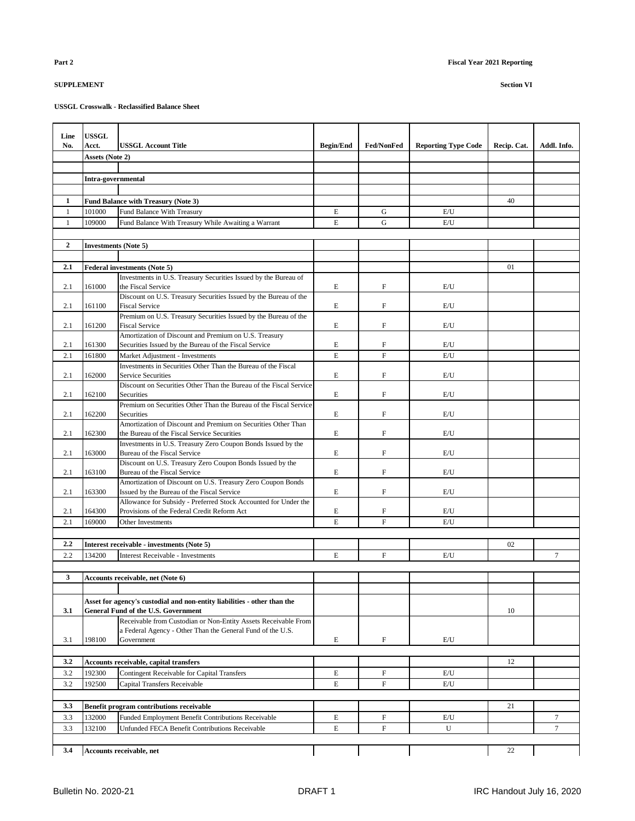| Line         | <b>USSGL</b>                |                                                                                                                |                  |                           |                            |             |             |
|--------------|-----------------------------|----------------------------------------------------------------------------------------------------------------|------------------|---------------------------|----------------------------|-------------|-------------|
| No.          | Acct.                       | <b>USSGL Account Title</b>                                                                                     | <b>Begin/End</b> | <b>Fed/NonFed</b>         | <b>Reporting Type Code</b> | Recip. Cat. | Addl. Info. |
|              | Assets (Note 2)             |                                                                                                                |                  |                           |                            |             |             |
|              |                             |                                                                                                                |                  |                           |                            |             |             |
|              | Intra-governmental          |                                                                                                                |                  |                           |                            |             |             |
|              |                             |                                                                                                                |                  |                           |                            |             |             |
| $\mathbf{1}$ |                             | Fund Balance with Treasury (Note 3)                                                                            |                  |                           |                            | 40          |             |
| $\mathbf{1}$ | 101000                      | Fund Balance With Treasury                                                                                     | E                | G                         | E/U                        |             |             |
| 1            | 109000                      | Fund Balance With Treasury While Awaiting a Warrant                                                            | E                | G                         | E/U                        |             |             |
|              |                             |                                                                                                                |                  |                           |                            |             |             |
| $\mathbf{2}$ | <b>Investments (Note 5)</b> |                                                                                                                |                  |                           |                            |             |             |
|              |                             |                                                                                                                |                  |                           |                            |             |             |
| 2.1          |                             | <b>Federal investments (Note 5)</b>                                                                            |                  |                           |                            | 01          |             |
| 2.1          | 161000                      | Investments in U.S. Treasury Securities Issued by the Bureau of<br>the Fiscal Service                          | E                | $\boldsymbol{\mathrm{F}}$ | E/U                        |             |             |
|              |                             | Discount on U.S. Treasury Securities Issued by the Bureau of the                                               |                  |                           |                            |             |             |
| 2.1          | 161100                      | <b>Fiscal Service</b>                                                                                          | E                | F                         | E/U                        |             |             |
|              |                             | Premium on U.S. Treasury Securities Issued by the Bureau of the                                                |                  |                           |                            |             |             |
| 2.1          | 161200                      | <b>Fiscal Service</b>                                                                                          | E                | $\boldsymbol{\mathrm{F}}$ | E/U                        |             |             |
|              |                             | Amortization of Discount and Premium on U.S. Treasury                                                          |                  |                           |                            |             |             |
| 2.1          | 161300                      | Securities Issued by the Bureau of the Fiscal Service                                                          | E                | F                         | E/U                        |             |             |
| 2.1          | 161800                      | Market Adjustment - Investments<br>Investments in Securities Other Than the Bureau of the Fiscal               | E                | $\mathbf F$               | E/U                        |             |             |
| 2.1          | 162000                      | <b>Service Securities</b>                                                                                      | E                | $\boldsymbol{\mathrm{F}}$ | E/U                        |             |             |
|              |                             | Discount on Securities Other Than the Bureau of the Fiscal Service                                             |                  |                           |                            |             |             |
| 2.1          | 162100                      | <b>Securities</b>                                                                                              | E                | $\boldsymbol{\mathrm{F}}$ | E/U                        |             |             |
|              |                             | Premium on Securities Other Than the Bureau of the Fiscal Service                                              |                  |                           |                            |             |             |
| 2.1          | 162200                      | Securities                                                                                                     | E                | $\boldsymbol{\mathrm{F}}$ | E/U                        |             |             |
|              |                             | Amortization of Discount and Premium on Securities Other Than                                                  |                  |                           |                            |             |             |
| 2.1          | 162300                      | the Bureau of the Fiscal Service Securities<br>Investments in U.S. Treasury Zero Coupon Bonds Issued by the    | E                | $\boldsymbol{\mathrm{F}}$ | E/U                        |             |             |
| 2.1          | 163000                      | Bureau of the Fiscal Service                                                                                   | E                | $\mathbf{F}$              | E/U                        |             |             |
|              |                             | Discount on U.S. Treasury Zero Coupon Bonds Issued by the                                                      |                  |                           |                            |             |             |
| 2.1          | 163100                      | Bureau of the Fiscal Service                                                                                   | E                | $\boldsymbol{\mathrm{F}}$ | E/U                        |             |             |
|              |                             | Amortization of Discount on U.S. Treasury Zero Coupon Bonds                                                    |                  |                           |                            |             |             |
| 2.1          | 163300                      | Issued by the Bureau of the Fiscal Service                                                                     | E                | $\boldsymbol{\mathrm{F}}$ | E/U                        |             |             |
| 2.1          | 164300                      | Allowance for Subsidy - Preferred Stock Accounted for Under the<br>Provisions of the Federal Credit Reform Act | E                | $\boldsymbol{\mathrm{F}}$ | E/U                        |             |             |
| 2.1          | 169000                      | Other Investments                                                                                              | E                | $\boldsymbol{\mathrm{F}}$ | E/U                        |             |             |
|              |                             |                                                                                                                |                  |                           |                            |             |             |
| 2.2          |                             | Interest receivable - investments (Note 5)                                                                     |                  |                           |                            | 02          |             |
| 2.2          | 134200                      | <b>Interest Receivable - Investments</b>                                                                       | E                | $\mathbf F$               | E/U                        |             | $\tau$      |
|              |                             |                                                                                                                |                  |                           |                            |             |             |
| 3            |                             | Accounts receivable, net (Note 6)                                                                              |                  |                           |                            |             |             |
|              |                             |                                                                                                                |                  |                           |                            |             |             |
|              |                             | Asset for agency's custodial and non-entity liabilities - other than the                                       |                  |                           |                            |             |             |
| 3.1          |                             | General Fund of the U.S. Government                                                                            |                  |                           |                            | 10          |             |
|              |                             | Receivable from Custodian or Non-Entity Assets Receivable From                                                 |                  |                           |                            |             |             |
|              |                             | a Federal Agency - Other Than the General Fund of the U.S.                                                     |                  |                           |                            |             |             |
| 3.1          | 198100                      | Government                                                                                                     | E                | F                         | E/U                        |             |             |
|              |                             |                                                                                                                |                  |                           |                            |             |             |
| 3.2          |                             | Accounts receivable, capital transfers                                                                         |                  |                           |                            | 12          |             |
| 3.2          | 192300                      | Contingent Receivable for Capital Transfers                                                                    | E                | F                         | E/U                        |             |             |
| 3.2          | 192500                      | <b>Capital Transfers Receivable</b>                                                                            | E                | $\boldsymbol{\mathrm{F}}$ | E/U                        |             |             |
|              |                             |                                                                                                                |                  |                           |                            |             |             |
| 3.3          |                             | Benefit program contributions receivable                                                                       |                  |                           |                            | 21          |             |
| 3.3          | 132000                      | <b>Funded Employment Benefit Contributions Receivable</b>                                                      | E                | $\boldsymbol{\mathrm{F}}$ | E/U                        |             | $\tau$      |
| 3.3          | 132100                      | Unfunded FECA Benefit Contributions Receivable                                                                 | E                | $\boldsymbol{\mathrm{F}}$ | U                          |             | $\tau$      |
|              |                             |                                                                                                                |                  |                           |                            |             |             |
| 3.4          |                             | Accounts receivable, net                                                                                       |                  |                           |                            | 22          |             |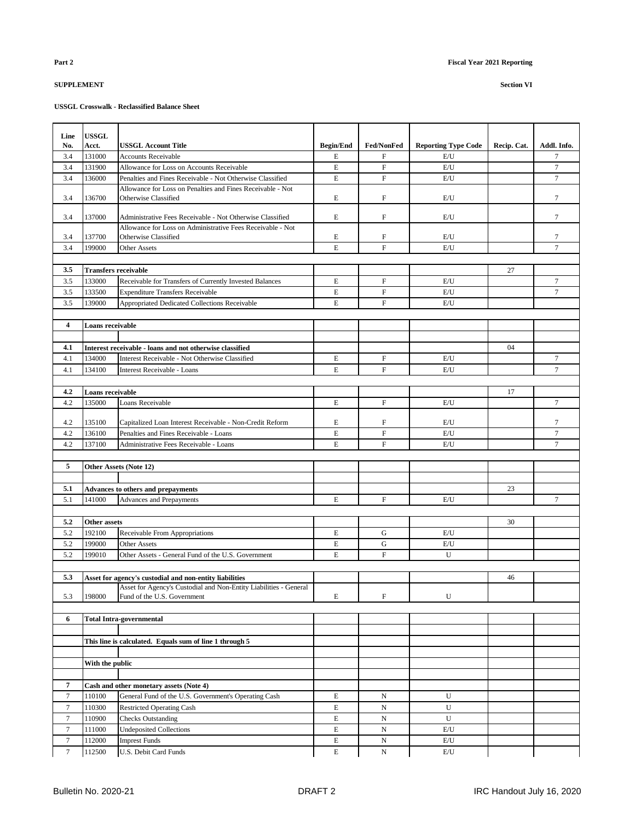| Line             | <b>USSGL</b>     |                                                                                                  |                  |                                                        |                            |             |                          |
|------------------|------------------|--------------------------------------------------------------------------------------------------|------------------|--------------------------------------------------------|----------------------------|-------------|--------------------------|
| No.              | <b>Acct.</b>     | <b>USSGL Account Title</b>                                                                       | <b>Begin/End</b> | Fed/NonFed                                             | <b>Reporting Type Code</b> | Recip. Cat. | Addl. Info.              |
| 3.4              | 131000           | <b>Accounts Receivable</b>                                                                       | E                | $\mathbf{F}$                                           | E/U                        |             | $\overline{7}$           |
| 3.4              | 131900           | Allowance for Loss on Accounts Receivable                                                        | E                | $\mathbf F$                                            | E/U                        |             | $\overline{7}$           |
| 3.4              | 136000           | Penalties and Fines Receivable - Not Otherwise Classified                                        | E                | $\boldsymbol{\mathrm{F}}$                              | E/U                        |             | $\overline{7}$           |
|                  |                  | Allowance for Loss on Penalties and Fines Receivable - Not                                       |                  |                                                        |                            |             |                          |
| 3.4              | 136700           | Otherwise Classified                                                                             | E                | $\boldsymbol{\mathrm{F}}$                              | E/U                        |             | $\overline{7}$           |
| 3.4              | 137000           | Administrative Fees Receivable - Not Otherwise Classified                                        | E                | $\mathbf{F}$                                           | E/U                        |             | 7                        |
|                  |                  | Allowance for Loss on Administrative Fees Receivable - Not                                       |                  |                                                        |                            |             |                          |
| 3.4              | 137700           | Otherwise Classified                                                                             | E                | F                                                      | E/U                        |             | 7                        |
| 3.4              | 199000           | <b>Other Assets</b>                                                                              | E                | $\mathbf{F}$                                           | E/U                        |             | $\overline{7}$           |
|                  |                  |                                                                                                  |                  |                                                        |                            |             |                          |
| 3.5              |                  | <b>Transfers receivable</b>                                                                      |                  |                                                        |                            | 27          |                          |
| 3.5              | 133000           | Receivable for Transfers of Currently Invested Balances                                          | E<br>E           | $\boldsymbol{\mathrm{F}}$<br>$\boldsymbol{\mathrm{F}}$ | E/U                        |             | 7<br>$\overline{7}$      |
| 3.5              | 133500<br>139000 | <b>Expenditure Transfers Receivable</b>                                                          | E                | $\boldsymbol{\mathrm{F}}$                              | E/U<br>E/U                 |             |                          |
| 3.5              |                  | Appropriated Dedicated Collections Receivable                                                    |                  |                                                        |                            |             |                          |
| 4                | Loans receivable |                                                                                                  |                  |                                                        |                            |             |                          |
|                  |                  |                                                                                                  |                  |                                                        |                            |             |                          |
| 4.1              |                  | Interest receivable - loans and not otherwise classified                                         |                  |                                                        |                            | 04          |                          |
| 4.1              | 134000           | Interest Receivable - Not Otherwise Classified                                                   | E                | $\boldsymbol{\mathrm{F}}$                              | E/U                        |             | $\tau$                   |
| 4.1              | 134100           | Interest Receivable - Loans                                                                      | E                | $\mathbf{F}$                                           | E/U                        |             | $\overline{7}$           |
|                  |                  |                                                                                                  |                  |                                                        |                            |             |                          |
| 4.2              | Loans receivable |                                                                                                  |                  |                                                        |                            | 17          |                          |
| 4.2              | 135000           | Loans Receivable                                                                                 | E                | $\boldsymbol{\mathrm{F}}$                              | E/U                        |             | $\tau$                   |
|                  |                  |                                                                                                  |                  |                                                        |                            |             |                          |
| 4.2              | 135100           | Capitalized Loan Interest Receivable - Non-Credit Reform                                         | E                | ${\rm F}$                                              | E/U                        |             | 7                        |
| 4.2              | 136100           | Penalties and Fines Receivable - Loans                                                           | E<br>E           | $\boldsymbol{\mathrm{F}}$<br>$\mathbf{F}$              | E/U                        |             | $\tau$<br>$\overline{7}$ |
| 4.2              | 137100           | Administrative Fees Receivable - Loans                                                           |                  |                                                        | E/U                        |             |                          |
| 5                |                  | Other Assets (Note 12)                                                                           |                  |                                                        |                            |             |                          |
|                  |                  |                                                                                                  |                  |                                                        |                            |             |                          |
| 5.1              |                  | <b>Advances to others and prepayments</b>                                                        |                  |                                                        |                            | 23          |                          |
| 5.1              | 141000           | Advances and Prepayments                                                                         | E                | F                                                      | E/U                        |             | 7                        |
|                  |                  |                                                                                                  |                  |                                                        |                            |             |                          |
| 5.2              | Other assets     |                                                                                                  |                  |                                                        |                            | 30          |                          |
| 5.2              | 192100           | Receivable From Appropriations                                                                   | E                | G                                                      | E/U                        |             |                          |
| 5.2              | 199000           | <b>Other Assets</b>                                                                              | E                | G                                                      | E/U                        |             |                          |
| 5.2              | 199010           | Other Assets - General Fund of the U.S. Government                                               | E                | $\boldsymbol{\mathrm{F}}$                              | U                          |             |                          |
|                  |                  |                                                                                                  |                  |                                                        |                            |             |                          |
| 5.3              |                  | Asset for agency's custodial and non-entity liabilities                                          |                  |                                                        |                            | 46          |                          |
| 5.3              | 198000           | Asset for Agency's Custodial and Non-Entity Liabilities - General<br>Fund of the U.S. Government | $\mathbf E$      | $\mathbf F$                                            | U                          |             |                          |
|                  |                  |                                                                                                  |                  |                                                        |                            |             |                          |
| 6                |                  | <b>Total Intra-governmental</b>                                                                  |                  |                                                        |                            |             |                          |
|                  |                  |                                                                                                  |                  |                                                        |                            |             |                          |
|                  |                  | This line is calculated. Equals sum of line 1 through 5                                          |                  |                                                        |                            |             |                          |
|                  |                  |                                                                                                  |                  |                                                        |                            |             |                          |
|                  | With the public  |                                                                                                  |                  |                                                        |                            |             |                          |
|                  |                  |                                                                                                  |                  |                                                        |                            |             |                          |
| $\overline{7}$   |                  | Cash and other monetary assets (Note 4)                                                          |                  |                                                        |                            |             |                          |
| $\boldsymbol{7}$ | 110100           | General Fund of the U.S. Government's Operating Cash                                             | E                | $_{\rm N}$                                             | U                          |             |                          |
| $\tau$           | 110300           | <b>Restricted Operating Cash</b>                                                                 | E                | ${\bf N}$                                              | U                          |             |                          |
| $\tau$<br>7      | 110900<br>111000 | <b>Checks Outstanding</b><br><b>Undeposited Collections</b>                                      | E<br>E           | N                                                      | U                          |             |                          |
| $\tau$           | 112000           | <b>Imprest Funds</b>                                                                             | E                | N<br>N                                                 | E/U<br>E/U                 |             |                          |
| 7                | 112500           | U.S. Debit Card Funds                                                                            | E                | $_{\rm N}$                                             | E/U                        |             |                          |
|                  |                  |                                                                                                  |                  |                                                        |                            |             |                          |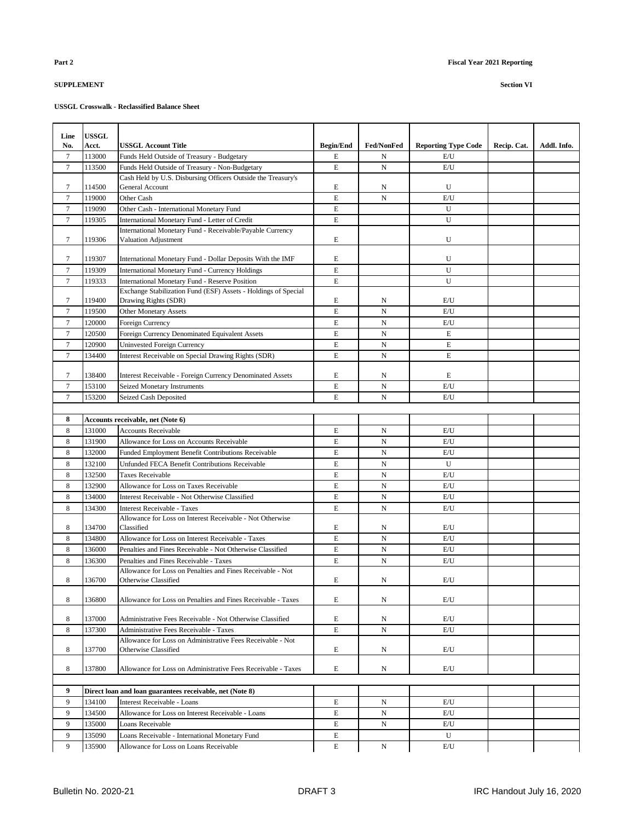| Line           | <b>USSGL</b>     |                                                                                          |                  |                   |                            |             |             |
|----------------|------------------|------------------------------------------------------------------------------------------|------------------|-------------------|----------------------------|-------------|-------------|
| No.            | Acct.            | USSGL Account Title                                                                      | <b>Begin/End</b> | <b>Fed/NonFed</b> | <b>Reporting Type Code</b> | Recip. Cat. | Addl. Info. |
| 7              | 113000           | Funds Held Outside of Treasury - Budgetary                                               | E                | N                 | E/U                        |             |             |
| $\tau$         | 113500           | Funds Held Outside of Treasury - Non-Budgetary                                           | E                | $\mathbf N$       | E/U                        |             |             |
|                |                  | Cash Held by U.S. Disbursing Officers Outside the Treasury's                             |                  |                   |                            |             |             |
| 7              | 114500           | General Account                                                                          | E                | N                 | U                          |             |             |
| $\tau$         | 119000           | Other Cash                                                                               | E                | $\mathbf N$       | E/U                        |             |             |
| 7              | 119090           | Other Cash - International Monetary Fund                                                 | E                |                   | U                          |             |             |
| $\tau$         | 119305           | International Monetary Fund - Letter of Credit                                           | E                |                   | U                          |             |             |
| 7              | 119306           | International Monetary Fund - Receivable/Payable Currency<br>Valuation Adjustment        | E                |                   | U                          |             |             |
| 7              | 119307           | International Monetary Fund - Dollar Deposits With the IMF                               | E                |                   | U                          |             |             |
| 7              | 119309           | <b>International Monetary Fund - Currency Holdings</b>                                   | E                |                   | U                          |             |             |
| 7              | 119333           | <b>International Monetary Fund - Reserve Position</b>                                    | E                |                   | U                          |             |             |
|                |                  | Exchange Stabilization Fund (ESF) Assets - Holdings of Special                           |                  |                   |                            |             |             |
| 7              | 119400           | Drawing Rights (SDR)                                                                     | E                | N                 | E/U                        |             |             |
| $\tau$         | 119500           | <b>Other Monetary Assets</b>                                                             | E                | $\mathbf N$       | E/U                        |             |             |
| $\tau$         | 120000           | Foreign Currency                                                                         | E                | N                 | E/U                        |             |             |
| 7              | 120500           | Foreign Currency Denominated Equivalent Assets                                           | E                | N                 | E                          |             |             |
| 7              | 120900           | <b>Uninvested Foreign Currency</b>                                                       | E                | N                 | E                          |             |             |
| $\overline{7}$ | 134400           | Interest Receivable on Special Drawing Rights (SDR)                                      | E                | $\mathbf N$       | E                          |             |             |
|                |                  |                                                                                          |                  |                   |                            |             |             |
| 7              | 138400           | <b>Interest Receivable - Foreign Currency Denominated Assets</b>                         | E                | N                 | E                          |             |             |
| $\tau$         | 153100           | <b>Seized Monetary Instruments</b>                                                       | E                | $\mathbf N$       | E/U                        |             |             |
| $\tau$         | 153200           | Seized Cash Deposited                                                                    | E                | N                 | E/U                        |             |             |
|                |                  |                                                                                          |                  |                   |                            |             |             |
| 8              |                  | Accounts receivable, net (Note 6)                                                        |                  |                   |                            |             |             |
| 8              | 131000           | <b>Accounts Receivable</b>                                                               | E                | N                 | E/U                        |             |             |
| 8              | 131900           | Allowance for Loss on Accounts Receivable                                                | E                | $\mathbf N$       | E/U                        |             |             |
| 8              | 132000           | <b>Funded Employment Benefit Contributions Receivable</b>                                | E<br>E           | $\mathbf N$       | E/U                        |             |             |
| 8              | 132100           | Unfunded FECA Benefit Contributions Receivable                                           |                  | $\mathbf N$       | U                          |             |             |
| 8              | 132500           | <b>Taxes Receivable</b>                                                                  | $\mathbf E$      | $_{\rm N}$        | E/U                        |             |             |
| 8<br>8         | 132900<br>134000 | Allowance for Loss on Taxes Receivable<br>Interest Receivable - Not Otherwise Classified | E<br>E           | N<br>$\mathbf N$  | E/U<br>E/U                 |             |             |
| 8              | 134300           | <b>Interest Receivable - Taxes</b>                                                       | E                | N                 | E/U                        |             |             |
|                |                  | Allowance for Loss on Interest Receivable - Not Otherwise                                |                  |                   |                            |             |             |
| 8              | 134700           | Classified                                                                               | E                | N                 | E/U                        |             |             |
| 8              | 134800           | Allowance for Loss on Interest Receivable - Taxes                                        | E                | N                 | E/U                        |             |             |
| 8              | 136000           | Penalties and Fines Receivable - Not Otherwise Classified                                | E                | N                 | E/U                        |             |             |
| 8              | 136300           | Penalties and Fines Receivable - Taxes                                                   | E                | N                 | E/U                        |             |             |
|                |                  | Allowance for Loss on Penalties and Fines Receivable - Not                               |                  |                   |                            |             |             |
| 8              | 136700           | Otherwise Classified                                                                     | E                | N                 | E/U                        |             |             |
| 8              | 136800           | Allowance for Loss on Penalties and Fines Receivable - Taxes                             | E                | N                 | E/U                        |             |             |
| 8              | 137000           | Administrative Fees Receivable - Not Otherwise Classified                                | E                | N                 | E/U                        |             |             |
| 8              | 137300           | Administrative Fees Receivable - Taxes                                                   | E                | N                 | E/U                        |             |             |
|                |                  | Allowance for Loss on Administrative Fees Receivable - Not                               |                  |                   |                            |             |             |
| 8              | 137700           | Otherwise Classified                                                                     | E                | N                 | E/U                        |             |             |
|                |                  |                                                                                          |                  |                   |                            |             |             |
| 8              | 137800           | Allowance for Loss on Administrative Fees Receivable - Taxes                             | E                | N                 | E/U                        |             |             |
| 9              |                  | Direct loan and loan guarantees receivable, net (Note 8)                                 |                  |                   |                            |             |             |
| 9              | 134100           | Interest Receivable - Loans                                                              | E                | N                 | E/U                        |             |             |
| 9              | 134500           | Allowance for Loss on Interest Receivable - Loans                                        | E                | N                 | E/U                        |             |             |
| 9              | 135000           | Loans Receivable                                                                         | E                | N                 | E/U                        |             |             |
| 9              | 135090           | Loans Receivable - International Monetary Fund                                           | E                |                   | U                          |             |             |
| 9              | 135900           | Allowance for Loss on Loans Receivable                                                   | E                | N                 | E/U                        |             |             |
|                |                  |                                                                                          |                  |                   |                            |             |             |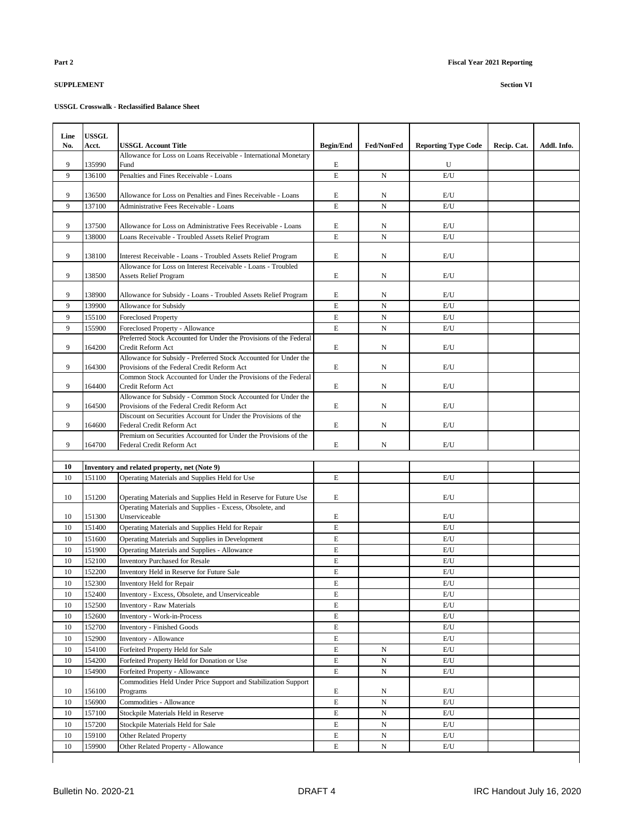| Line<br>No. | <b>USSGL</b><br>Acct. | <b>USSGL Account Title</b>                                                                                  | <b>Begin/End</b> | Fed/NonFed  | <b>Reporting Type Code</b> | Recip. Cat. | Addl. Info. |
|-------------|-----------------------|-------------------------------------------------------------------------------------------------------------|------------------|-------------|----------------------------|-------------|-------------|
|             |                       | Allowance for Loss on Loans Receivable - International Monetary                                             |                  |             |                            |             |             |
| 9           | 135990                | Fund                                                                                                        | E                |             | U                          |             |             |
| 9           | 136100                | Penalties and Fines Receivable - Loans                                                                      | $\mathbf E$      | N           | E/U                        |             |             |
|             |                       |                                                                                                             |                  |             |                            |             |             |
| 9           | 136500                | Allowance for Loss on Penalties and Fines Receivable - Loans                                                | E                | N           | E/U                        |             |             |
| 9           | 137100                | Administrative Fees Receivable - Loans                                                                      | E                | $\mathbf N$ | E/U                        |             |             |
|             |                       |                                                                                                             |                  |             |                            |             |             |
| 9<br>9      | 137500                | Allowance for Loss on Administrative Fees Receivable - Loans                                                | E<br>E           | N           | E/U                        |             |             |
|             | 138000                | Loans Receivable - Troubled Assets Relief Program                                                           |                  | $\mathbf N$ | E/U                        |             |             |
| 9           | 138100                | Interest Receivable - Loans - Troubled Assets Relief Program                                                | E                | N           | E/U                        |             |             |
|             |                       | Allowance for Loss on Interest Receivable - Loans - Troubled                                                |                  |             |                            |             |             |
| 9           | 138500                | <b>Assets Relief Program</b>                                                                                | E                | N           | E/U                        |             |             |
|             |                       |                                                                                                             |                  |             |                            |             |             |
| 9           | 138900                | Allowance for Subsidy - Loans - Troubled Assets Relief Program                                              | E                | N           | E/U                        |             |             |
| 9           | 139900                | Allowance for Subsidy                                                                                       | E                | N           | E/U                        |             |             |
| 9           | 155100                | <b>Foreclosed Property</b>                                                                                  | $\mathbf E$      | N           | E/U                        |             |             |
| 9           | 155900                | Foreclosed Property - Allowance<br>Preferred Stock Accounted for Under the Provisions of the Federal        | $\mathbf E$      | $\mathbf N$ | E/U                        |             |             |
| 9           | 164200                | Credit Reform Act                                                                                           | E                | N           | E/U                        |             |             |
|             |                       | Allowance for Subsidy - Preferred Stock Accounted for Under the                                             |                  |             |                            |             |             |
| 9           | 164300                | Provisions of the Federal Credit Reform Act                                                                 | E                | N           | E/U                        |             |             |
|             |                       | Common Stock Accounted for Under the Provisions of the Federal                                              |                  |             |                            |             |             |
| 9           | 164400                | Credit Reform Act                                                                                           | E                | N           | E/U                        |             |             |
| 9           | 164500                | Allowance for Subsidy - Common Stock Accounted for Under the<br>Provisions of the Federal Credit Reform Act | E                | N           | E/U                        |             |             |
|             |                       | Discount on Securities Account for Under the Provisions of the                                              |                  |             |                            |             |             |
| 9           | 164600                | Federal Credit Reform Act                                                                                   | E                | N           | E/U                        |             |             |
|             |                       | Premium on Securities Accounted for Under the Provisions of the                                             |                  |             |                            |             |             |
| 9           | 164700                | Federal Credit Reform Act                                                                                   | E                | N           | E/U                        |             |             |
|             |                       |                                                                                                             |                  |             |                            |             |             |
| 10          |                       | Inventory and related property, net (Note 9)                                                                |                  |             |                            |             |             |
| 10          | 151100                | Operating Materials and Supplies Held for Use                                                               | E                |             | E/U                        |             |             |
| 10          | 151200                | Operating Materials and Supplies Held in Reserve for Future Use                                             | E                |             | E/U                        |             |             |
|             |                       | Operating Materials and Supplies - Excess, Obsolete, and                                                    |                  |             |                            |             |             |
| 10          | 151300                | Unserviceable                                                                                               | E                |             | E/U                        |             |             |
| 10          | 151400                | Operating Materials and Supplies Held for Repair                                                            | $\mathbf E$      |             | E/U                        |             |             |
| 10          | 151600                | Operating Materials and Supplies in Development                                                             | $\mathbf E$      |             | E/U                        |             |             |
| 10          | 151900                | <b>Operating Materials and Supplies - Allowance</b>                                                         | E                |             | E/U                        |             |             |
| 10          | 152100                | <b>Inventory Purchased for Resale</b>                                                                       | $\mathbf E$      |             | E/U                        |             |             |
| 10          | 152200                | Inventory Held in Reserve for Future Sale                                                                   | E                |             | E/U                        |             |             |
| 10          | 152300                | Inventory Held for Repair                                                                                   | E                |             | E/U                        |             |             |
| 10          | 152400                | Inventory - Excess, Obsolete, and Unserviceable                                                             | E                |             | E/U                        |             |             |
| 10          | 152500                | <b>Inventory - Raw Materials</b>                                                                            | $\mathbf E$      |             | E/U                        |             |             |
| 10          | 152600                | Inventory - Work-in-Process                                                                                 | E                |             | E/U                        |             |             |
| 10          | 152700                | <b>Inventory - Finished Goods</b>                                                                           | $\mathbf E$      |             | E/U                        |             |             |
| 10          | 152900                | Inventory - Allowance                                                                                       | E                |             | E/U                        |             |             |
| 10          | 154100                | Forfeited Property Held for Sale                                                                            | E                | N           | E/U                        |             |             |
| 10          | 154200                | Forfeited Property Held for Donation or Use                                                                 | E                | N           | E/U                        |             |             |
| 10          | 154900                | Forfeited Property - Allowance                                                                              | E                | N           | E/U                        |             |             |
| 10          | 156100                | Commodities Held Under Price Support and Stabilization Support<br>Programs                                  | E                | N           | E/U                        |             |             |
| 10          | 156900                | Commodities - Allowance                                                                                     | $\mathbf E$      | $_{\rm N}$  | E/U                        |             |             |
| 10          | 157100                | Stockpile Materials Held in Reserve                                                                         | E                | N           | E/U                        |             |             |
| 10          | 157200                | Stockpile Materials Held for Sale                                                                           | E                | N           | E/U                        |             |             |
| 10          | 159100                | Other Related Property                                                                                      | E                | N           | E/U                        |             |             |
| 10          | 159900                | Other Related Property - Allowance                                                                          | E                | N           | E/U                        |             |             |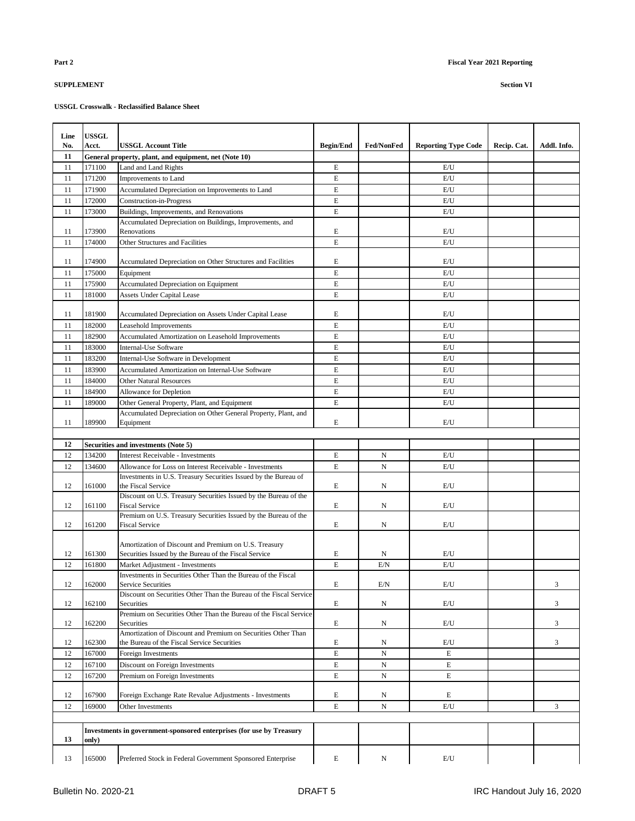| Line<br>No. | <b>USSGL</b><br>Acct. | USSGL Account Title                                                              | <b>Begin/End</b> | <b>Fed/NonFed</b> | <b>Reporting Type Code</b> | Recip. Cat. | Addl. Info. |
|-------------|-----------------------|----------------------------------------------------------------------------------|------------------|-------------------|----------------------------|-------------|-------------|
| 11          |                       | General property, plant, and equipment, net (Note 10)                            |                  |                   |                            |             |             |
| 11          | 171100                | Land and Land Rights                                                             | E                |                   | E/U                        |             |             |
| 11          | 171200                | Improvements to Land                                                             | E                |                   | E/U                        |             |             |
| 11          | 171900                | Accumulated Depreciation on Improvements to Land                                 | E                |                   | E/U                        |             |             |
| 11          | 172000                | Construction-in-Progress                                                         | E                |                   | E/U                        |             |             |
| 11          | 173000                | Buildings, Improvements, and Renovations                                         | E                |                   | E/U                        |             |             |
|             |                       | Accumulated Depreciation on Buildings, Improvements, and                         |                  |                   |                            |             |             |
| 11          | 173900                | Renovations                                                                      | E                |                   | E/U                        |             |             |
| 11          | 174000                | Other Structures and Facilities                                                  | E                |                   | E/U                        |             |             |
|             |                       |                                                                                  |                  |                   |                            |             |             |
| 11          | 174900                | Accumulated Depreciation on Other Structures and Facilities                      | E                |                   | E/U                        |             |             |
| 11          | 175000                | Equipment                                                                        | E                |                   | E/U                        |             |             |
| 11          | 175900                | Accumulated Depreciation on Equipment                                            | E                |                   | E/U                        |             |             |
| 11          | 181000                | <b>Assets Under Capital Lease</b>                                                | E                |                   | E/U                        |             |             |
|             |                       |                                                                                  |                  |                   |                            |             |             |
| 11          | 181900                | Accumulated Depreciation on Assets Under Capital Lease                           | E                |                   | E/U                        |             |             |
| 11          | 182000                | Leasehold Improvements                                                           | E                |                   | E/U                        |             |             |
| 11          | 182900                | Accumulated Amortization on Leasehold Improvements                               | E                |                   | E/U                        |             |             |
| 11          | 183000                | Internal-Use Software                                                            | E                |                   | E/U                        |             |             |
| 11          | 183200                | Internal-Use Software in Development                                             | E                |                   | E/U                        |             |             |
| 11          | 183900                | Accumulated Amortization on Internal-Use Software                                | E                |                   | E/U                        |             |             |
| 11          | 184000                | <b>Other Natural Resources</b>                                                   | E                |                   | E/U                        |             |             |
| 11          | 184900                | Allowance for Depletion                                                          | E                |                   | E/U                        |             |             |
| 11          | 189000                | Other General Property, Plant, and Equipment                                     | E                |                   | E/U                        |             |             |
|             |                       | Accumulated Depreciation on Other General Property, Plant, and                   |                  |                   |                            |             |             |
| 11          | 189900                | Equipment                                                                        | E                |                   | E/U                        |             |             |
|             |                       |                                                                                  |                  |                   |                            |             |             |
| 12          |                       | Securities and investments (Note 5)                                              |                  |                   |                            |             |             |
| 12          | 134200                | <b>Interest Receivable - Investments</b>                                         | E                | N                 | E/U                        |             |             |
| 12          | 134600                | Allowance for Loss on Interest Receivable - Investments                          | E                | N                 | E/U                        |             |             |
|             |                       | Investments in U.S. Treasury Securities Issued by the Bureau of                  |                  |                   |                            |             |             |
| 12          | 161000                | the Fiscal Service                                                               | E                | N                 | E/U                        |             |             |
|             |                       | Discount on U.S. Treasury Securities Issued by the Bureau of the                 |                  |                   |                            |             |             |
| 12          | 161100                | <b>Fiscal Service</b>                                                            | E                | N                 | E/U                        |             |             |
|             |                       | Premium on U.S. Treasury Securities Issued by the Bureau of the                  |                  |                   |                            |             |             |
| 12          | 161200                | Fiscal Service                                                                   | E                | N                 | E/U                        |             |             |
|             |                       |                                                                                  |                  |                   |                            |             |             |
|             |                       | Amortization of Discount and Premium on U.S. Treasury                            |                  |                   |                            |             |             |
| 12          | 161300                | Securities Issued by the Bureau of the Fiscal Service                            | E                | N                 | E/U                        |             |             |
| 12          | 161800                | Market Adjustment - Investments                                                  | E                | E/N               | E/U                        |             |             |
| 12          | 162000                | Investments in Securities Other Than the Bureau of the Fiscal                    | E                | E/N               | E/U                        |             | 3           |
|             |                       | <b>Service Securities</b>                                                        |                  |                   |                            |             |             |
| 12          | 162100                | Discount on Securities Other Than the Bureau of the Fiscal Service<br>Securities | E                | N                 | E/U                        |             | 3           |
|             |                       | Premium on Securities Other Than the Bureau of the Fiscal Service                |                  |                   |                            |             |             |
| 12          | 162200                | <b>Securities</b>                                                                | E                | N                 | E/U                        |             | 3           |
|             |                       | Amortization of Discount and Premium on Securities Other Than                    |                  |                   |                            |             |             |
| 12          | 162300                | the Bureau of the Fiscal Service Securities                                      | E                | N                 | E/U                        |             | 3           |
| 12          | 167000                | Foreign Investments                                                              | E                | N                 | E                          |             |             |
| 12          | 167100                | Discount on Foreign Investments                                                  | E                | N                 | $\mathbf E$                |             |             |
| 12          | 167200                | Premium on Foreign Investments                                                   | E                | N                 | E                          |             |             |
|             |                       |                                                                                  |                  |                   |                            |             |             |
| 12          | 167900                | Foreign Exchange Rate Revalue Adjustments - Investments                          | E                | N                 | E                          |             |             |
| 12          | 169000                | Other Investments                                                                | E                | N                 | E/U                        |             | 3           |
|             |                       |                                                                                  |                  |                   |                            |             |             |
|             |                       | Investments in government-sponsored enterprises (for use by Treasury             |                  |                   |                            |             |             |
| 13          | only)                 |                                                                                  |                  |                   |                            |             |             |
|             |                       |                                                                                  |                  |                   |                            |             |             |
| 13          | 165000                | Preferred Stock in Federal Government Sponsored Enterprise                       | E                | N                 | E/U                        |             |             |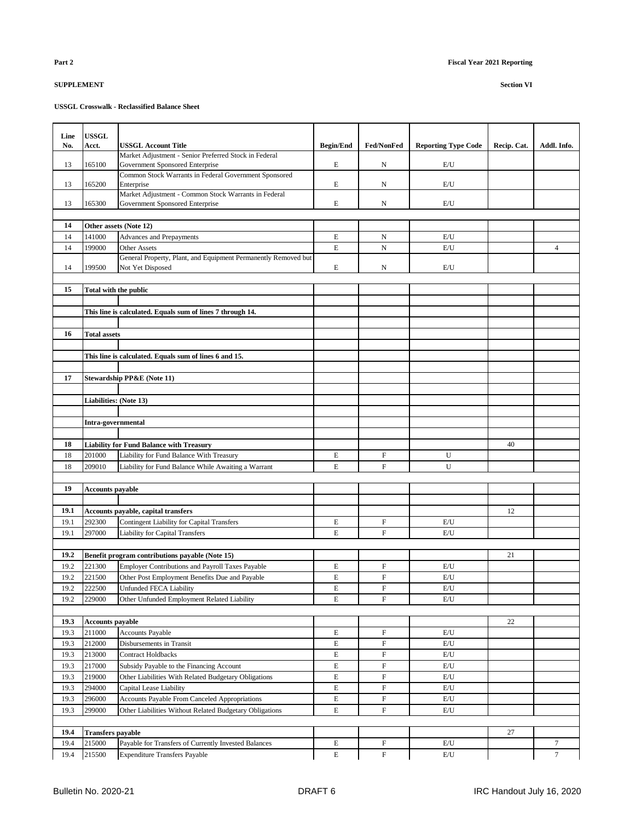| Line | <b>USSGL</b>                 |                                                                                                            |                  |                           |                            |             |                |
|------|------------------------------|------------------------------------------------------------------------------------------------------------|------------------|---------------------------|----------------------------|-------------|----------------|
| No.  | <b>Acct.</b>                 | USSGL Account Title<br>Market Adjustment - Senior Preferred Stock in Federal                               | <b>Begin/End</b> | <b>Fed/NonFed</b>         | <b>Reporting Type Code</b> | Recip. Cat. | Addl. Info.    |
| 13   | 165100                       | Government Sponsored Enterprise                                                                            | E                | N                         | E/U                        |             |                |
|      |                              | Common Stock Warrants in Federal Government Sponsored                                                      |                  |                           |                            |             |                |
| 13   | 165200                       | Enterprise                                                                                                 | E                | N                         | E/U                        |             |                |
|      |                              | Market Adjustment - Common Stock Warrants in Federal                                                       |                  |                           |                            |             |                |
| 13   | 165300                       | Government Sponsored Enterprise                                                                            | E                | N                         | E/U                        |             |                |
|      |                              |                                                                                                            |                  |                           |                            |             |                |
| 14   |                              | Other assets (Note 12)                                                                                     |                  |                           |                            |             |                |
| 14   | 141000                       | <b>Advances and Prepayments</b>                                                                            | E                | N                         | E/U                        |             |                |
| 14   | 199000                       | Other Assets<br>General Property, Plant, and Equipment Permanently Removed but                             | E                | $\mathbf N$               | E/U                        |             | $\overline{4}$ |
| 14   | 199500                       | Not Yet Disposed                                                                                           | E                | N                         | E/U                        |             |                |
|      |                              |                                                                                                            |                  |                           |                            |             |                |
| 15   | <b>Total with the public</b> |                                                                                                            |                  |                           |                            |             |                |
|      |                              |                                                                                                            |                  |                           |                            |             |                |
|      |                              | This line is calculated. Equals sum of lines 7 through 14.                                                 |                  |                           |                            |             |                |
|      |                              |                                                                                                            |                  |                           |                            |             |                |
| 16   | <b>Total assets</b>          |                                                                                                            |                  |                           |                            |             |                |
|      |                              |                                                                                                            |                  |                           |                            |             |                |
|      |                              | This line is calculated. Equals sum of lines 6 and 15.                                                     |                  |                           |                            |             |                |
|      |                              |                                                                                                            |                  |                           |                            |             |                |
| 17   |                              | Stewardship PP&E (Note 11)                                                                                 |                  |                           |                            |             |                |
|      |                              |                                                                                                            |                  |                           |                            |             |                |
|      | Liabilities: (Note 13)       |                                                                                                            |                  |                           |                            |             |                |
|      |                              |                                                                                                            |                  |                           |                            |             |                |
|      | Intra-governmental           |                                                                                                            |                  |                           |                            |             |                |
|      |                              |                                                                                                            |                  |                           |                            |             |                |
| 18   |                              | <b>Liability for Fund Balance with Treasury</b>                                                            |                  |                           |                            | 40          |                |
| 18   | 201000                       | Liability for Fund Balance With Treasury                                                                   | E                | $\mathbf F$               | U                          |             |                |
| 18   | 209010                       | Liability for Fund Balance While Awaiting a Warrant                                                        | E                | $\mathbf F$               | U                          |             |                |
|      |                              |                                                                                                            |                  |                           |                            |             |                |
| 19   | <b>Accounts payable</b>      |                                                                                                            |                  |                           |                            |             |                |
|      |                              |                                                                                                            |                  |                           |                            |             |                |
| 19.1 |                              | <b>Accounts payable, capital transfers</b>                                                                 |                  |                           |                            | 12          |                |
| 19.1 | 292300                       | Contingent Liability for Capital Transfers                                                                 | E                | $\boldsymbol{\mathrm{F}}$ | E/U                        |             |                |
| 19.1 | 297000                       | <b>Liability for Capital Transfers</b>                                                                     | E                | $\mathbf F$               | E/U                        |             |                |
| 19.2 |                              |                                                                                                            |                  |                           |                            | 21          |                |
| 19.2 | 221300                       | Benefit program contributions payable (Note 15)<br><b>Employer Contributions and Payroll Taxes Payable</b> | E                | $\mathbf F$               | E/U                        |             |                |
| 19.2 | 221500                       | Other Post Employment Benefits Due and Payable                                                             | E                | $\mathbf F$               | E/U                        |             |                |
| 19.2 | 222500                       | <b>Unfunded FECA Liability</b>                                                                             | E                | $\overline{F}$            | E/U                        |             |                |
| 19.2 | 229000                       | Other Unfunded Employment Related Liability                                                                | E                | $\mathbf F$               | E/U                        |             |                |
|      |                              |                                                                                                            |                  |                           |                            |             |                |
| 19.3 | <b>Accounts payable</b>      |                                                                                                            |                  |                           |                            | 22          |                |
| 19.3 | 211000                       | <b>Accounts Payable</b>                                                                                    | E                | $\boldsymbol{\mathrm{F}}$ | E/U                        |             |                |
| 19.3 | 212000                       | Disbursements in Transit                                                                                   | E                | $\boldsymbol{\mathrm{F}}$ | E/U                        |             |                |
| 19.3 | 213000                       | <b>Contract Holdbacks</b>                                                                                  | E                | $\boldsymbol{\mathrm{F}}$ | E/U                        |             |                |
| 19.3 | 217000                       | Subsidy Payable to the Financing Account                                                                   | E                | $\mathbf F$               | E/U                        |             |                |
| 19.3 | 219000                       | Other Liabilities With Related Budgetary Obligations                                                       | E                | $\boldsymbol{\mathrm{F}}$ | E/U                        |             |                |
| 19.3 | 294000                       | Capital Lease Liability                                                                                    | E                | $\boldsymbol{\mathrm{F}}$ | E/U                        |             |                |
| 19.3 | 296000                       | <b>Accounts Payable From Canceled Appropriations</b>                                                       | E                | $\boldsymbol{\mathrm{F}}$ | E/U                        |             |                |
| 19.3 | 299000                       | Other Liabilities Without Related Budgetary Obligations                                                    | E                | $\boldsymbol{\mathrm{F}}$ | E/U                        |             |                |
|      |                              |                                                                                                            |                  |                           |                            |             |                |
| 19.4 | <b>Transfers payable</b>     |                                                                                                            |                  |                           |                            | 27          |                |
| 19.4 | 215000                       | Payable for Transfers of Currently Invested Balances                                                       | E                | F                         | E/U                        |             | $\tau$         |
| 19.4 | 215500                       | <b>Expenditure Transfers Payable</b>                                                                       | E                | $\boldsymbol{\mathrm{F}}$ | E/U                        |             | $\tau$         |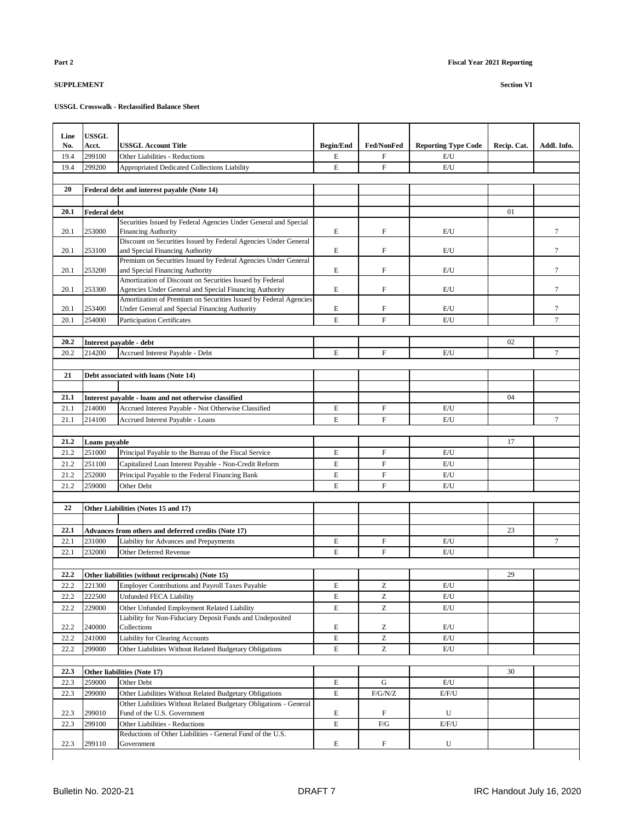| Line | <b>USSGL</b>        |                                                                                                                              |                  |                                                       |                            |             |                  |
|------|---------------------|------------------------------------------------------------------------------------------------------------------------------|------------------|-------------------------------------------------------|----------------------------|-------------|------------------|
| No.  | Acct.               | USSGL Account Title                                                                                                          | <b>Begin/End</b> | <b>Fed/NonFed</b>                                     | <b>Reporting Type Code</b> | Recip. Cat. | Addl. Info.      |
| 19.4 | 299100              | <b>Other Liabilities - Reductions</b>                                                                                        | E                | $\mathbf F$                                           | E/U                        |             |                  |
| 19.4 | 299200              | Appropriated Dedicated Collections Liability                                                                                 | E                | $\boldsymbol{\mathrm{F}}$                             | E/U                        |             |                  |
|      |                     |                                                                                                                              |                  |                                                       |                            |             |                  |
| 20   |                     | Federal debt and interest payable (Note 14)                                                                                  |                  |                                                       |                            |             |                  |
|      |                     |                                                                                                                              |                  |                                                       |                            |             |                  |
| 20.1 | <b>Federal debt</b> |                                                                                                                              |                  |                                                       |                            | 01          |                  |
|      |                     | Securities Issued by Federal Agencies Under General and Special                                                              |                  |                                                       |                            |             |                  |
| 20.1 | 253000              | <b>Financing Authority</b>                                                                                                   | E                | $\mathbf F$                                           | E/U                        |             | 7                |
| 20.1 | 253100              | Discount on Securities Issued by Federal Agencies Under General<br>and Special Financing Authority                           | E                | $\mathbf F$                                           | E/U                        |             | 7                |
|      |                     | Premium on Securities Issued by Federal Agencies Under General                                                               |                  |                                                       |                            |             |                  |
| 20.1 | 253200              | and Special Financing Authority                                                                                              | E                | $\mathbf F$                                           | E/U                        |             | 7                |
|      |                     | Amortization of Discount on Securities Issued by Federal                                                                     |                  |                                                       |                            |             |                  |
| 20.1 | 253300              | Agencies Under General and Special Financing Authority                                                                       | E                | $\mathbf F$                                           | E/U                        |             | 7                |
| 20.1 | 253400              | Amortization of Premium on Securities Issued by Federal Agencies<br>Under General and Special Financing Authority            | E                | $\boldsymbol{\mathrm{F}}$                             | E/U                        |             | 7                |
| 20.1 | 254000              | <b>Participation Certificates</b>                                                                                            | E                | $\overline{F}$                                        | E/U                        |             | $\overline{7}$   |
|      |                     |                                                                                                                              |                  |                                                       |                            |             |                  |
| 20.2 |                     | Interest payable - debt                                                                                                      |                  |                                                       |                            | 02          |                  |
| 20.2 | 214200              | Accrued Interest Payable - Debt                                                                                              | E                | $\mathbf F$                                           | E/U                        |             | 7                |
|      |                     |                                                                                                                              |                  |                                                       |                            |             |                  |
| 21   |                     | Debt associated with loans (Note 14)                                                                                         |                  |                                                       |                            |             |                  |
|      |                     |                                                                                                                              |                  |                                                       |                            |             |                  |
| 21.1 |                     | Interest payable - loans and not otherwise classified                                                                        |                  |                                                       |                            | 04          |                  |
| 21.1 | 214000              | Accrued Interest Payable - Not Otherwise Classified                                                                          | E                | F                                                     | E/U                        |             |                  |
| 21.1 | 214100              | <b>Accrued Interest Payable - Loans</b>                                                                                      | $\mathbf E$      | ${\bf F}$                                             | E/U                        |             | 7                |
|      |                     |                                                                                                                              |                  |                                                       |                            |             |                  |
| 21.2 | Loans payable       |                                                                                                                              |                  |                                                       |                            | 17          |                  |
| 21.2 | 251000              | Principal Payable to the Bureau of the Fiscal Service                                                                        | E                | $\boldsymbol{\mathrm{F}}$                             | E/U                        |             |                  |
| 21.2 | 251100              | Capitalized Loan Interest Payable - Non-Credit Reform                                                                        | E                | $\mathbf F$                                           | E/U                        |             |                  |
| 21.2 | 252000              | Principal Payable to the Federal Financing Bank                                                                              | $\mathbf E$      | $\boldsymbol{\mathrm{F}}$                             | E/U                        |             |                  |
| 21.2 | 259000              | Other Debt                                                                                                                   | $\mathbf E$      | $\mathbf{F}$                                          | E/U                        |             |                  |
|      |                     |                                                                                                                              |                  |                                                       |                            |             |                  |
| 22   |                     | Other Liabilities (Notes 15 and 17)                                                                                          |                  |                                                       |                            |             |                  |
| 22.1 |                     |                                                                                                                              |                  |                                                       |                            | 23          |                  |
| 22.1 | 231000              | Advances from others and deferred credits (Note 17)<br>Liability for Advances and Prepayments                                | E                | $\mathbf F$                                           | E/U                        |             | $\boldsymbol{7}$ |
| 22.1 | 232000              | Other Deferred Revenue                                                                                                       | E                | $\mathbf{F}$                                          | E/U                        |             |                  |
|      |                     |                                                                                                                              |                  |                                                       |                            |             |                  |
| 22.2 |                     | Other liabilities (without reciprocals) (Note 15)                                                                            |                  |                                                       |                            | 29          |                  |
| 22.2 | 221300              | Employer Contributions and Payroll Taxes Payable                                                                             | $\mathbf E$      | Z                                                     | $\mathrm{E}/\mathrm{U}$    |             |                  |
| 22.2 | 222500              | Unfunded FECA Liability                                                                                                      | E                | Z                                                     | E/U                        |             |                  |
| 22.2 | 229000              | Other Unfunded Employment Related Liability                                                                                  | $\mathbf E$      | Z                                                     | E/U                        |             |                  |
|      |                     | Liability for Non-Fiduciary Deposit Funds and Undeposited                                                                    |                  |                                                       |                            |             |                  |
| 22.2 | 240000              | Collections                                                                                                                  | E                | Ζ                                                     | E/U                        |             |                  |
| 22.2 | 241000              | <b>Liability for Clearing Accounts</b>                                                                                       | $\mathbf E$      | $\mathbf{Z}% ^{T}=\mathbf{Z}^{T}\times\mathbf{Z}^{T}$ | E/U                        |             |                  |
| 22.2 | 299000              | Other Liabilities Without Related Budgetary Obligations                                                                      | E                | Z                                                     | E/U                        |             |                  |
|      |                     |                                                                                                                              |                  |                                                       |                            |             |                  |
| 22.3 | 259000              | Other liabilities (Note 17)                                                                                                  |                  |                                                       |                            | 30          |                  |
| 22.3 | 299000              | Other Debt                                                                                                                   | $\mathbf E$      | G<br>F/G/N/Z                                          | $\mathrm{E}/\mathrm{U}$    |             |                  |
| 22.3 |                     | Other Liabilities Without Related Budgetary Obligations<br>Other Liabilities Without Related Budgetary Obligations - General | E                |                                                       | E/F/U                      |             |                  |
| 22.3 | 299010              | Fund of the U.S. Government                                                                                                  | E                | F                                                     | U                          |             |                  |
| 22.3 | 299100              | Other Liabilities - Reductions                                                                                               | E                | $\rm{F/G}$                                            | E/F/U                      |             |                  |
|      |                     | Reductions of Other Liabilities - General Fund of the U.S.                                                                   |                  |                                                       |                            |             |                  |
| 22.3 | 299110              | Government                                                                                                                   | E                | $\boldsymbol{\mathrm{F}}$                             | U                          |             |                  |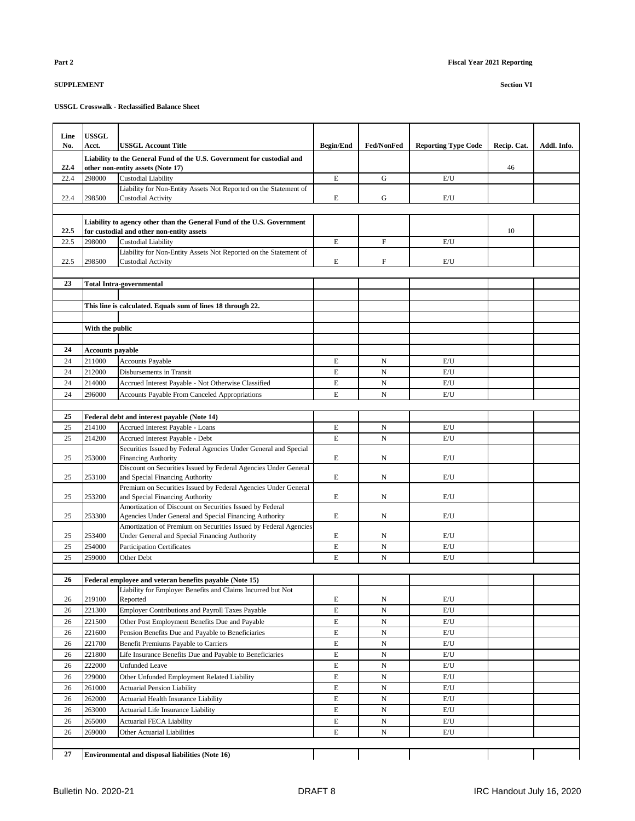| Line     | <b>USSGL</b>            |                                                                                                                   |                  |                   |                            |             |             |
|----------|-------------------------|-------------------------------------------------------------------------------------------------------------------|------------------|-------------------|----------------------------|-------------|-------------|
| No.      | Acct.                   | <b>USSGL Account Title</b>                                                                                        | <b>Begin/End</b> | <b>Fed/NonFed</b> | <b>Reporting Type Code</b> | Recip. Cat. | Addl. Info. |
| 22.4     |                         | Liability to the General Fund of the U.S. Government for custodial and<br>other non-entity assets (Note 17)       |                  |                   |                            | 46          |             |
| 22.4     | 298000                  | <b>Custodial Liability</b>                                                                                        | $\mathbf E$      | G                 | E/U                        |             |             |
|          |                         | Liability for Non-Entity Assets Not Reported on the Statement of                                                  |                  |                   |                            |             |             |
| 22.4     | 298500                  | <b>Custodial Activity</b>                                                                                         | E                | G                 | E/U                        |             |             |
|          |                         |                                                                                                                   |                  |                   |                            |             |             |
|          |                         | Liability to agency other than the General Fund of the U.S. Government                                            |                  |                   |                            |             |             |
| 22.5     |                         | for custodial and other non-entity assets                                                                         |                  |                   |                            | 10          |             |
| 22.5     | 298000                  | <b>Custodial Liability</b>                                                                                        | $\mathbf E$      | $\mathbf F$       | E/U                        |             |             |
| 22.5     | 298500                  | Liability for Non-Entity Assets Not Reported on the Statement of<br><b>Custodial Activity</b>                     | E                | F                 | E/U                        |             |             |
|          |                         |                                                                                                                   |                  |                   |                            |             |             |
| 23       |                         | <b>Total Intra-governmental</b>                                                                                   |                  |                   |                            |             |             |
|          |                         |                                                                                                                   |                  |                   |                            |             |             |
|          |                         | This line is calculated. Equals sum of lines 18 through 22.                                                       |                  |                   |                            |             |             |
|          |                         |                                                                                                                   |                  |                   |                            |             |             |
|          | With the public         |                                                                                                                   |                  |                   |                            |             |             |
|          |                         |                                                                                                                   |                  |                   |                            |             |             |
| 24       | <b>Accounts payable</b> |                                                                                                                   |                  |                   |                            |             |             |
| 24       | 211000                  | <b>Accounts Payable</b>                                                                                           | E                | N                 | E/U                        |             |             |
| 24       | 212000                  | Disbursements in Transit                                                                                          | E                | N                 | E/U                        |             |             |
| 24       | 214000                  | Accrued Interest Payable - Not Otherwise Classified                                                               | $\mathbf E$      | $\mathbf N$       | E/U                        |             |             |
| 24       | 296000                  | <b>Accounts Payable From Canceled Appropriations</b>                                                              | $\mathbf E$      | N                 | E/U                        |             |             |
|          |                         |                                                                                                                   |                  |                   |                            |             |             |
| 25       |                         | Federal debt and interest payable (Note 14)                                                                       |                  |                   |                            |             |             |
| 25       | 214100                  | Accrued Interest Payable - Loans                                                                                  | E                | N                 | E/U                        |             |             |
| 25       | 214200                  | Accrued Interest Payable - Debt                                                                                   | $\mathbf E$      | N                 | E/U                        |             |             |
|          |                         | Securities Issued by Federal Agencies Under General and Special                                                   |                  |                   |                            |             |             |
| 25       | 253000                  | <b>Financing Authority</b>                                                                                        | $\mathbf E$      | N                 | E/U                        |             |             |
| 25       | 253100                  | Discount on Securities Issued by Federal Agencies Under General<br>and Special Financing Authority                | E                | N                 | E/U                        |             |             |
|          |                         | Premium on Securities Issued by Federal Agencies Under General                                                    |                  |                   |                            |             |             |
| 25       | 253200                  | and Special Financing Authority                                                                                   | E                | N                 | E/U                        |             |             |
|          |                         | Amortization of Discount on Securities Issued by Federal                                                          |                  |                   |                            |             |             |
| 25       | 253300                  | Agencies Under General and Special Financing Authority                                                            | E                | N                 | E/U                        |             |             |
| 25       | 253400                  | Amortization of Premium on Securities Issued by Federal Agencies<br>Under General and Special Financing Authority | E                | N                 | E/U                        |             |             |
| 25       | 254000                  | <b>Participation Certificates</b>                                                                                 | E                | N                 | E/U                        |             |             |
| 25       | 259000                  | Other Debt                                                                                                        | E                | N                 | E/U                        |             |             |
|          |                         |                                                                                                                   |                  |                   |                            |             |             |
| 26       |                         | Federal employee and veteran benefits payable (Note 15)                                                           |                  |                   |                            |             |             |
|          |                         | Liability for Employer Benefits and Claims Incurred but Not                                                       |                  |                   |                            |             |             |
| 26       | 219100                  | Reported                                                                                                          | E                | N                 | E/U                        |             |             |
| 26       | 221300                  | <b>Employer Contributions and Payroll Taxes Payable</b>                                                           | E                | N                 | E/U                        |             |             |
| 26       | 221500                  | Other Post Employment Benefits Due and Payable                                                                    | E                | N                 | E/U                        |             |             |
| 26       | 221600                  | Pension Benefits Due and Payable to Beneficiaries                                                                 | $\mathbf E$      | N                 | E/U                        |             |             |
| 26       | 221700                  | Benefit Premiums Payable to Carriers                                                                              | $\mathbf E$      | N                 | E/U                        |             |             |
| 26       | 221800                  | Life Insurance Benefits Due and Payable to Beneficiaries                                                          | E                | N                 | E/U                        |             |             |
| 26       | 222000                  | <b>Unfunded Leave</b>                                                                                             | E                | N                 | E/U                        |             |             |
| 26       | 229000                  | Other Unfunded Employment Related Liability                                                                       | E                | N                 | E/U                        |             |             |
| 26       | 261000                  | <b>Actuarial Pension Liability</b>                                                                                | E                | N                 | E/U                        |             |             |
| 26<br>26 | 262000<br>263000        | Actuarial Health Insurance Liability                                                                              | E<br>E           | N                 | E/U<br>E/U                 |             |             |
|          | 265000                  | Actuarial Life Insurance Liability                                                                                |                  | N                 |                            |             |             |
| 26<br>26 | 269000                  | Actuarial FECA Liability<br>Other Actuarial Liabilities                                                           | E<br>E           | N<br>N            | E/U<br>E/U                 |             |             |
|          |                         |                                                                                                                   |                  |                   |                            |             |             |
| 27       |                         | <b>Environmental and disposal liabilities (Note 16)</b>                                                           |                  |                   |                            |             |             |
|          |                         |                                                                                                                   |                  |                   |                            |             |             |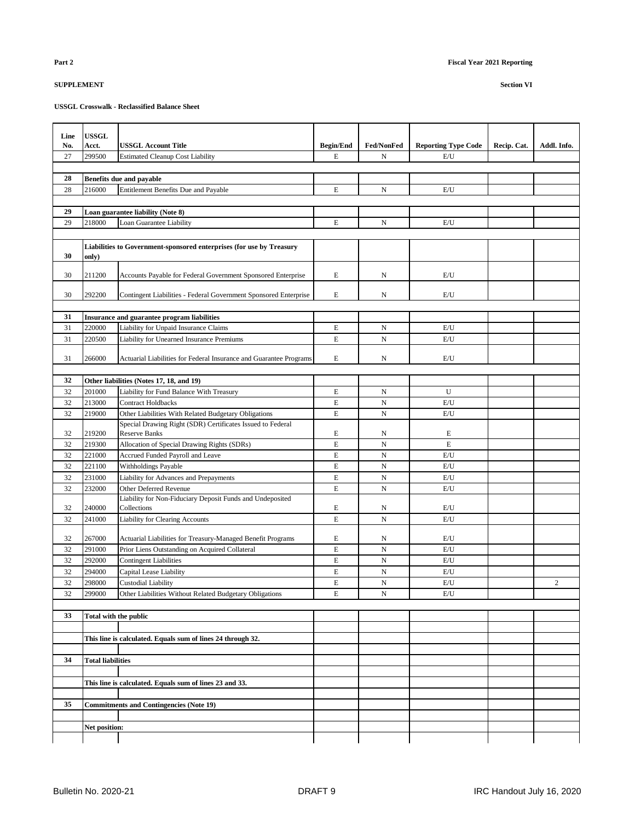| Line     | <b>USSGL</b>             |                                                                                    |                  |                   |                            |             |                |
|----------|--------------------------|------------------------------------------------------------------------------------|------------------|-------------------|----------------------------|-------------|----------------|
| No.      | Acct.                    | <b>USSGL Account Title</b>                                                         | <b>Begin/End</b> | <b>Fed/NonFed</b> | <b>Reporting Type Code</b> | Recip. Cat. | Addl. Info.    |
| 27       | 299500                   | <b>Estimated Cleanup Cost Liability</b>                                            | E                | N                 | E/U                        |             |                |
|          |                          |                                                                                    |                  |                   |                            |             |                |
| 28       |                          | <b>Benefits due and payable</b>                                                    |                  |                   |                            |             |                |
| 28       | 216000                   | Entitlement Benefits Due and Payable                                               | $\mathbf E$      | $_{\rm N}$        | E/U                        |             |                |
|          |                          |                                                                                    |                  |                   |                            |             |                |
| 29       |                          | Loan guarantee liability (Note 8)                                                  |                  |                   |                            |             |                |
| 29       | 218000                   | Loan Guarantee Liability                                                           | $\mathbf E$      | ${\bf N}$         | E/U                        |             |                |
|          |                          |                                                                                    |                  |                   |                            |             |                |
| 30       | only)                    | Liabilities to Government-sponsored enterprises (for use by Treasury               |                  |                   |                            |             |                |
|          |                          |                                                                                    |                  |                   |                            |             |                |
| 30       | 211200                   | Accounts Payable for Federal Government Sponsored Enterprise                       | E                | N                 | E/U                        |             |                |
|          |                          |                                                                                    |                  |                   |                            |             |                |
| 30       | 292200                   | Contingent Liabilities - Federal Government Sponsored Enterprise                   | E                | N                 | E/U                        |             |                |
| 31       |                          | Insurance and guarantee program liabilities                                        |                  |                   |                            |             |                |
| 31       | 220000                   | Liability for Unpaid Insurance Claims                                              | $\mathbf E$      | $_{\rm N}$        | E/U                        |             |                |
| 31       | 220500                   | Liability for Unearned Insurance Premiums                                          | $\mathbf E$      | $\mathbf N$       | E/U                        |             |                |
|          |                          |                                                                                    |                  |                   |                            |             |                |
| 31       | 266000                   | Actuarial Liabilities for Federal Insurance and Guarantee Programs                 | E                | N                 | E/U                        |             |                |
|          |                          |                                                                                    |                  |                   |                            |             |                |
| 32       |                          | Other liabilities (Notes 17, 18, and 19)                                           |                  |                   |                            |             |                |
| 32       | 201000                   | Liability for Fund Balance With Treasury                                           | $\mathbf E$      | N                 | U                          |             |                |
| 32       | 213000                   | <b>Contract Holdbacks</b>                                                          | $\mathbf E$      | $_{\rm N}$        | E/U                        |             |                |
| 32       | 219000                   | Other Liabilities With Related Budgetary Obligations                               | $\mathbf E$      | $\mathbf N$       | E/U                        |             |                |
| 32       | 219200                   | Special Drawing Right (SDR) Certificates Issued to Federal<br><b>Reserve Banks</b> | E                | N                 | E                          |             |                |
| 32       | 219300                   | Allocation of Special Drawing Rights (SDRs)                                        | $\mathbf E$      | $\mathbf N$       | $\mathbf E$                |             |                |
| 32       | 221000                   | Accrued Funded Payroll and Leave                                                   | E                | N                 | E/U                        |             |                |
| 32       | 221100                   | Withholdings Payable                                                               | $\mathbf E$      | N                 | E/U                        |             |                |
| 32       | 231000                   | Liability for Advances and Prepayments                                             | $\mathbf E$      | $\mathbf N$       | E/U                        |             |                |
| 32       | 232000                   | Other Deferred Revenue                                                             | $\mathbf E$      | $\mathbf N$       | E/U                        |             |                |
|          |                          | Liability for Non-Fiduciary Deposit Funds and Undeposited                          |                  |                   |                            |             |                |
| 32<br>32 | 240000<br>241000         | Collections                                                                        | E<br>$\mathbf E$ | N<br>$\mathbf N$  | E/U<br>E/U                 |             |                |
|          |                          | <b>Liability for Clearing Accounts</b>                                             |                  |                   |                            |             |                |
| 32       | 267000                   | Actuarial Liabilities for Treasury-Managed Benefit Programs                        | $\mathbf E$      | N                 | E/U                        |             |                |
| 32       | 291000                   | Prior Liens Outstanding on Acquired Collateral                                     | $\mathbf E$      | $_{\rm N}$        | E/U                        |             |                |
| 32       | 292000                   | <b>Contingent Liabilities</b>                                                      | $\mathbf E$      | $_{\rm N}$        | E/U                        |             |                |
| 32       | 294000                   | Capital Lease Liability                                                            | $\mathbf E$      | $\mathbf N$       | E/U                        |             |                |
| 32       | 298000                   | Custodial Liability                                                                | $\mathbf E$      | N                 | E/U                        |             | $\overline{c}$ |
| 32       | 299000                   | Other Liabilities Without Related Budgetary Obligations                            | E                | N                 | E/U                        |             |                |
|          |                          |                                                                                    |                  |                   |                            |             |                |
| 33       | Total with the public    |                                                                                    |                  |                   |                            |             |                |
|          |                          |                                                                                    |                  |                   |                            |             |                |
|          |                          | This line is calculated. Equals sum of lines 24 through 32.                        |                  |                   |                            |             |                |
| 34       | <b>Total liabilities</b> |                                                                                    |                  |                   |                            |             |                |
|          |                          |                                                                                    |                  |                   |                            |             |                |
|          |                          | This line is calculated. Equals sum of lines 23 and 33.                            |                  |                   |                            |             |                |
|          |                          |                                                                                    |                  |                   |                            |             |                |
| 35       |                          | <b>Commitments and Contingencies (Note 19)</b>                                     |                  |                   |                            |             |                |
|          |                          |                                                                                    |                  |                   |                            |             |                |
|          | Net position:            |                                                                                    |                  |                   |                            |             |                |
|          |                          |                                                                                    |                  |                   |                            |             |                |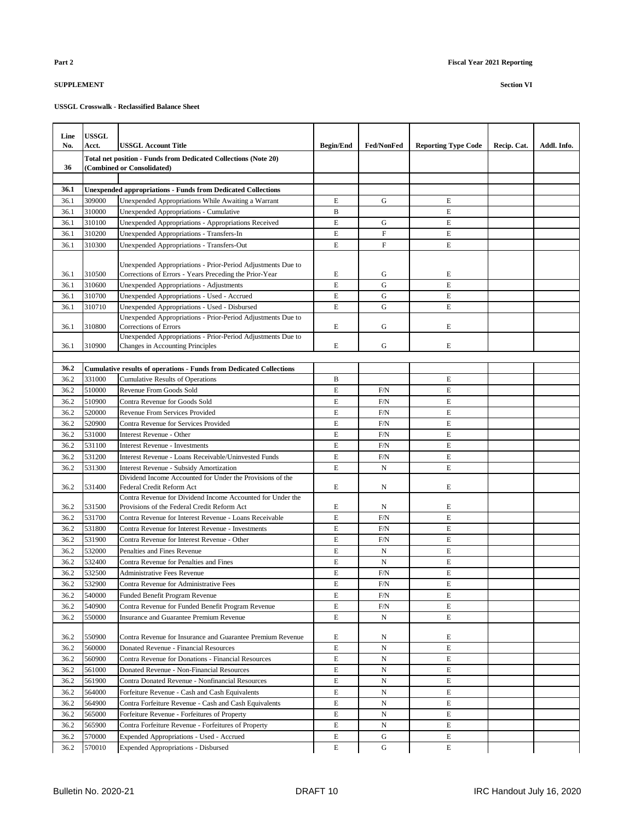| Line<br>No. | <b>USSGL</b><br><b>Acct.</b> | <b>USSGL Account Title</b>                                                                                            | <b>Begin/End</b> | <b>Fed/NonFed</b>         | <b>Reporting Type Code</b> | Recip. Cat. | Addl. Info. |
|-------------|------------------------------|-----------------------------------------------------------------------------------------------------------------------|------------------|---------------------------|----------------------------|-------------|-------------|
|             |                              | Total net position - Funds from Dedicated Collections (Note 20)                                                       |                  |                           |                            |             |             |
| 36          |                              | (Combined or Consolidated)                                                                                            |                  |                           |                            |             |             |
|             |                              |                                                                                                                       |                  |                           |                            |             |             |
| 36.1        |                              | <b>Unexpended appropriations - Funds from Dedicated Collections</b>                                                   |                  |                           |                            |             |             |
| 36.1        | 309000                       | Unexpended Appropriations While Awaiting a Warrant                                                                    | E                | G                         | E                          |             |             |
| 36.1        | 310000                       | Unexpended Appropriations - Cumulative                                                                                | B                |                           | E                          |             |             |
| 36.1        | 310100                       | Unexpended Appropriations - Appropriations Received                                                                   | E                | G                         | E                          |             |             |
| 36.1        | 310200                       | Unexpended Appropriations - Transfers-In                                                                              | E                | $\mathbf{F}$              | E                          |             |             |
| 36.1        | 310300                       | Unexpended Appropriations - Transfers-Out                                                                             | E                | $\boldsymbol{\mathrm{F}}$ | E                          |             |             |
| 36.1        | 310500                       | Unexpended Appropriations - Prior-Period Adjustments Due to<br>Corrections of Errors - Years Preceding the Prior-Year | E                | G                         | E                          |             |             |
| 36.1        | 310600                       | Unexpended Appropriations - Adjustments                                                                               | E                | G                         | $\mathbf E$                |             |             |
| 36.1        | 310700                       | Unexpended Appropriations - Used - Accrued                                                                            | E                | G                         | E                          |             |             |
| 36.1        | 310710                       | Unexpended Appropriations - Used - Disbursed                                                                          | E                | G                         | E                          |             |             |
| 36.1        | 310800                       | Unexpended Appropriations - Prior-Period Adjustments Due to<br><b>Corrections of Errors</b>                           | E                | G                         | E                          |             |             |
|             |                              | Unexpended Appropriations - Prior-Period Adjustments Due to                                                           |                  |                           |                            |             |             |
| 36.1        | 310900                       | Changes in Accounting Principles                                                                                      | E                | G                         | E                          |             |             |
|             |                              |                                                                                                                       |                  |                           |                            |             |             |
| 36.2        |                              | <b>Cumulative results of operations - Funds from Dedicated Collections</b>                                            |                  |                           |                            |             |             |
| 36.2        | 331000                       | <b>Cumulative Results of Operations</b>                                                                               | B                |                           | E                          |             |             |
| 36.2        | 510000                       | Revenue From Goods Sold                                                                                               | E                | F/N                       | E                          |             |             |
| 36.2        | 510900                       | Contra Revenue for Goods Sold                                                                                         | E                | F/N                       | E                          |             |             |
| 36.2        | 520000                       | Revenue From Services Provided                                                                                        | E                | F/N                       | E                          |             |             |
| 36.2        | 520900                       | Contra Revenue for Services Provided                                                                                  | E                | F/N                       | E                          |             |             |
| 36.2        | 531000                       | Interest Revenue - Other                                                                                              | E                | F/N                       | E                          |             |             |
| 36.2        | 531100                       | <b>Interest Revenue - Investments</b>                                                                                 | E                | F/N                       | E                          |             |             |
| 36.2        | 531200                       | Interest Revenue - Loans Receivable/Uninvested Funds                                                                  | E                | F/N                       | E                          |             |             |
| 36.2        | 531300                       | <b>Interest Revenue - Subsidy Amortization</b>                                                                        | E                | N                         | E                          |             |             |
| 36.2        | 531400                       | Dividend Income Accounted for Under the Provisions of the<br>Federal Credit Reform Act                                | E                | N                         | E                          |             |             |
| 36.2        | 531500                       | Contra Revenue for Dividend Income Accounted for Under the<br>Provisions of the Federal Credit Reform Act             | E                | N                         | E                          |             |             |
| 36.2        | 531700                       | Contra Revenue for Interest Revenue - Loans Receivable                                                                | E                | F/N                       | E                          |             |             |
| 36.2        | 531800                       | Contra Revenue for Interest Revenue - Investments                                                                     | E                | F/N                       | E                          |             |             |
| 36.2        | 531900                       | Contra Revenue for Interest Revenue - Other                                                                           | E                | F/N                       | E                          |             |             |
| 36.2        | 532000                       | Penalties and Fines Revenue                                                                                           | E                | N                         | E                          |             |             |
| 36.2        | 532400                       | Contra Revenue for Penalties and Fines                                                                                | E                | N                         | E                          |             |             |
| 36.2        | 532500                       | Administrative Fees Revenue                                                                                           | E                | F/N                       | E                          |             |             |
| 36.2        | 532900                       | Contra Revenue for Administrative Fees                                                                                | E                | F/N                       | E                          |             |             |
| 36.2        | 540000                       | Funded Benefit Program Revenue                                                                                        | E                | F/N                       | E                          |             |             |
| 36.2        | 540900                       | Contra Revenue for Funded Benefit Program Revenue                                                                     | E                | F/N                       | E                          |             |             |
| 36.2        | 550000                       | <b>Insurance and Guarantee Premium Revenue</b>                                                                        | E                | N                         | E                          |             |             |
| 36.2        | 550900                       | Contra Revenue for Insurance and Guarantee Premium Revenue                                                            | E                | N                         | E                          |             |             |
| 36.2        | 560000                       | Donated Revenue - Financial Resources                                                                                 | E                | N                         | E                          |             |             |
| 36.2        | 560900                       | Contra Revenue for Donations - Financial Resources                                                                    | E                | $_{\rm N}$                | E                          |             |             |
| 36.2        | 561000                       | Donated Revenue - Non-Financial Resources                                                                             | E                | N                         | E                          |             |             |
| 36.2        | 561900                       | Contra Donated Revenue - Nonfinancial Resources                                                                       | E                | N                         | E                          |             |             |
| 36.2        | 564000                       | Forfeiture Revenue - Cash and Cash Equivalents                                                                        | E                | N                         | E                          |             |             |
| 36.2        | 564900                       | Contra Forfeiture Revenue - Cash and Cash Equivalents                                                                 | E                | $_{\rm N}$                | E                          |             |             |
| 36.2        | 565000                       | Forfeiture Revenue - Forfeitures of Property                                                                          | E                | N                         | E                          |             |             |
| 36.2        | 565900                       | Contra Forfeiture Revenue - Forfeitures of Property                                                                   | E                | N                         | E                          |             |             |
| 36.2        | 570000                       | Expended Appropriations - Used - Accrued                                                                              | E                | G                         | E                          |             |             |
| 36.2        | 570010                       | <b>Expended Appropriations - Disbursed</b>                                                                            | E                | G                         | E                          |             |             |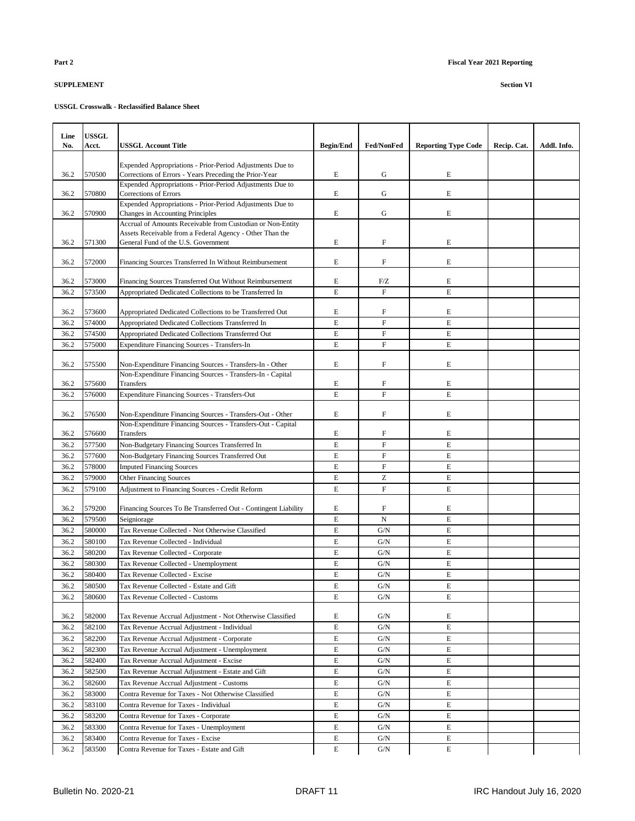| Line         | <b>USSGL</b>     |                                                                                                 |                            |                           |                            |             |             |
|--------------|------------------|-------------------------------------------------------------------------------------------------|----------------------------|---------------------------|----------------------------|-------------|-------------|
| No.          | Acct.            | USSGL Account Title                                                                             | <b>Begin/End</b>           | <b>Fed/NonFed</b>         | <b>Reporting Type Code</b> | Recip. Cat. | Addl. Info. |
|              |                  | Expended Appropriations - Prior-Period Adjustments Due to                                       |                            |                           |                            |             |             |
| 36.2         | 570500           | Corrections of Errors - Years Preceding the Prior-Year                                          | E                          | G                         | E                          |             |             |
| 36.2         | 570800           | Expended Appropriations - Prior-Period Adjustments Due to<br>Corrections of Errors              | E                          | G                         | E                          |             |             |
| 36.2         | 570900           | Expended Appropriations - Prior-Period Adjustments Due to<br>Changes in Accounting Principles   | E                          | G                         | $\mathbf E$                |             |             |
|              |                  | Accrual of Amounts Receivable from Custodian or Non-Entity                                      |                            |                           |                            |             |             |
| 36.2         | 571300           | Assets Receivable from a Federal Agency - Other Than the<br>General Fund of the U.S. Government | $\mathbf E$                | $\boldsymbol{\mathrm{F}}$ | E                          |             |             |
| 36.2         | 572000           | Financing Sources Transferred In Without Reimbursement                                          | E                          | $\boldsymbol{\mathrm{F}}$ | E                          |             |             |
| 36.2         | 573000           | Financing Sources Transferred Out Without Reimbursement                                         | E                          | F/Z                       | E                          |             |             |
| 36.2         | 573500           | Appropriated Dedicated Collections to be Transferred In                                         | E                          | $\overline{F}$            | $\mathbf E$                |             |             |
|              |                  |                                                                                                 |                            |                           |                            |             |             |
| 36.2         | 573600           | Appropriated Dedicated Collections to be Transferred Out                                        | E                          | F                         | E                          |             |             |
| 36.2         | 574000           | Appropriated Dedicated Collections Transferred In                                               | $\mathbf E$                | $\mathbf F$               | E                          |             |             |
| 36.2         | 574500           | Appropriated Dedicated Collections Transferred Out                                              | E                          | $\boldsymbol{\mathrm{F}}$ | E                          |             |             |
| 36.2         | 575000           | <b>Expenditure Financing Sources - Transfers-In</b>                                             | $\mathbf E$                | $\boldsymbol{\mathrm{F}}$ | $\mathbf E$                |             |             |
| 36.2         | 575500           | Non-Expenditure Financing Sources - Transfers-In - Other                                        | E                          | $\boldsymbol{\mathrm{F}}$ | E                          |             |             |
| 36.2         | 575600           | Non-Expenditure Financing Sources - Transfers-In - Capital<br>Transfers                         | E                          | F                         | E                          |             |             |
| 36.2         | 576000           | <b>Expenditure Financing Sources - Transfers-Out</b>                                            | $\mathbf E$                | $\overline{F}$            | E                          |             |             |
| 36.2         | 576500           | Non-Expenditure Financing Sources - Transfers-Out - Other                                       | E                          | $\boldsymbol{\mathrm{F}}$ | E                          |             |             |
|              |                  | Non-Expenditure Financing Sources - Transfers-Out - Capital                                     |                            |                           |                            |             |             |
| 36.2<br>36.2 | 576600<br>577500 | Transfers<br>Non-Budgetary Financing Sources Transferred In                                     | E<br>$\mathbf E$           | F<br>$\overline{F}$       | E<br>$\mathbf E$           |             |             |
| 36.2         | 577600           | Non-Budgetary Financing Sources Transferred Out                                                 | E                          | $\boldsymbol{\mathrm{F}}$ | $\mathbf E$                |             |             |
| 36.2         | 578000           | <b>Imputed Financing Sources</b>                                                                | $\mathbf E$                | $\overline{F}$            | E                          |             |             |
| 36.2         | 579000           | <b>Other Financing Sources</b>                                                                  | $\mathbf E$                | Z                         | E                          |             |             |
| 36.2         | 579100           | <b>Adjustment to Financing Sources - Credit Reform</b>                                          | E                          | $\mathbf F$               | E                          |             |             |
|              |                  |                                                                                                 |                            |                           |                            |             |             |
| 36.2         | 579200           | Financing Sources To Be Transferred Out - Contingent Liability                                  | E                          | F                         | E                          |             |             |
| 36.2         | 579500           | Seigniorage                                                                                     | $\mathbf E$                | $\mathbf N$               | E                          |             |             |
| 36.2         | 580000           | Tax Revenue Collected - Not Otherwise Classified                                                | $\mathbf E$                | G/N                       | $\mathbf E$                |             |             |
| 36.2<br>36.2 | 580100<br>580200 | Tax Revenue Collected - Individual<br>Tax Revenue Collected - Corporate                         | $\mathbf E$<br>$\mathbf E$ | G/N<br>G/N                | $\mathbf E$<br>$\mathbf E$ |             |             |
| 36.2         | 580300           | Tax Revenue Collected - Unemployment                                                            | E                          | G/N                       | E                          |             |             |
| 36.2         | 580400           | Tax Revenue Collected - Excise                                                                  | E                          | G/N                       | E                          |             |             |
| 36.2         | 580500           | Tax Revenue Collected - Estate and Gift                                                         | E                          | G/N                       | E                          |             |             |
| 36.2         | 580600           | Tax Revenue Collected - Customs                                                                 | E                          | G/N                       | E                          |             |             |
|              |                  |                                                                                                 |                            |                           |                            |             |             |
| 36.2         | 582000           | Tax Revenue Accrual Adjustment - Not Otherwise Classified                                       | E                          | G/N                       | E                          |             |             |
| 36.2         | 582100           | Tax Revenue Accrual Adjustment - Individual                                                     | $\mathbf E$                | G/N                       | E                          |             |             |
| 36.2         | 582200           | Tax Revenue Accrual Adjustment - Corporate                                                      | E                          | G/N                       | E                          |             |             |
| 36.2         | 582300           | Tax Revenue Accrual Adjustment - Unemployment                                                   | E                          | G/N                       | E                          |             |             |
| 36.2<br>36.2 | 582400<br>582500 | Tax Revenue Accrual Adjustment - Excise<br>Tax Revenue Accrual Adjustment - Estate and Gift     | E<br>$\mathbf E$           | G/N<br>G/N                | E<br>$\mathbf E$           |             |             |
| 36.2         | 582600           | Tax Revenue Accrual Adjustment - Customs                                                        | $\mathbf E$                | G/N                       | E                          |             |             |
| 36.2         | 583000           | Contra Revenue for Taxes - Not Otherwise Classified                                             | E                          | G/N                       | E                          |             |             |
| 36.2         | 583100           | Contra Revenue for Taxes - Individual                                                           | E                          | G/N                       | E                          |             |             |
| 36.2         | 583200           | Contra Revenue for Taxes - Corporate                                                            | $\mathbf E$                | G/N                       | E                          |             |             |
| 36.2         | 583300           | Contra Revenue for Taxes - Unemployment                                                         | $\mathbf E$                | G/N                       | E                          |             |             |
| 36.2         | 583400           | Contra Revenue for Taxes - Excise                                                               | E                          | G/N                       | E                          |             |             |
| 36.2         | 583500           | Contra Revenue for Taxes - Estate and Gift                                                      | $\mathbf E$                | G/N                       | E                          |             |             |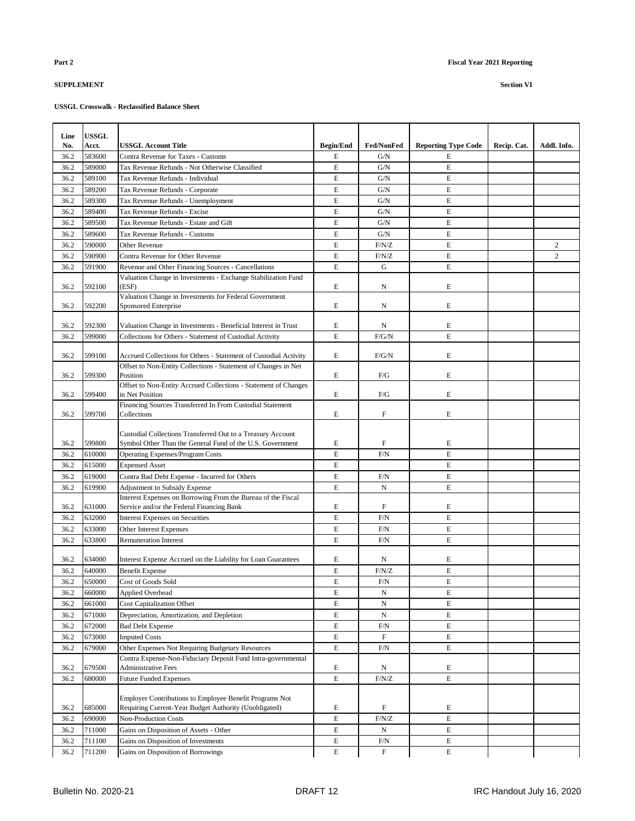| Line | <b>USSGL</b> |                                                                                                                          |                  |                           |                            |             |                |
|------|--------------|--------------------------------------------------------------------------------------------------------------------------|------------------|---------------------------|----------------------------|-------------|----------------|
| No.  | Acct.        | <b>USSGL Account Title</b>                                                                                               | <b>Begin/End</b> | <b>Fed/NonFed</b>         | <b>Reporting Type Code</b> | Recip. Cat. | Addl. Info.    |
| 36.2 | 583600       | Contra Revenue for Taxes - Customs                                                                                       | E                | G/N                       | $\mathbf E$                |             |                |
| 36.2 | 589000       | Tax Revenue Refunds - Not Otherwise Classified                                                                           | E                | G/N                       | E                          |             |                |
| 36.2 | 589100       | Tax Revenue Refunds - Individual                                                                                         | E                | G/N                       | E                          |             |                |
| 36.2 | 589200       | Tax Revenue Refunds - Corporate                                                                                          | E                | G/N                       | E                          |             |                |
| 36.2 | 589300       | Tax Revenue Refunds - Unemployment                                                                                       | E                | G/N                       | E                          |             |                |
| 36.2 | 589400       | Tax Revenue Refunds - Excise                                                                                             | E                | G/N                       | E                          |             |                |
| 36.2 | 589500       | Tax Revenue Refunds - Estate and Gift                                                                                    | E                | G/N                       | E                          |             |                |
| 36.2 | 589600       | Tax Revenue Refunds - Customs                                                                                            | E                | G/N                       | E                          |             |                |
| 36.2 | 590000       | Other Revenue                                                                                                            | E                | F/N/Z                     | E                          |             | $\overline{c}$ |
| 36.2 | 590900       | Contra Revenue for Other Revenue                                                                                         | E                | F/N/Z                     | E                          |             | $\overline{c}$ |
| 36.2 | 591900       | Revenue and Other Financing Sources - Cancellations                                                                      | E                | G                         | E                          |             |                |
| 36.2 | 592100       | Valuation Change in Investments - Exchange Stabilization Fund<br>(ESF)                                                   | E                | N                         | E                          |             |                |
|      |              | Valuation Change in Investments for Federal Government                                                                   |                  |                           |                            |             |                |
| 36.2 | 592200       | <b>Sponsored Enterprise</b>                                                                                              | E                | N                         | E                          |             |                |
| 36.2 | 592300       | Valuation Change in Investments - Beneficial Interest in Trust                                                           | E                | N                         | E                          |             |                |
| 36.2 | 599000       | Collections for Others - Statement of Custodial Activity                                                                 | E                | F/G/N                     | E                          |             |                |
|      |              |                                                                                                                          |                  |                           |                            |             |                |
| 36.2 | 599100       | Accrued Collections for Others - Statement of Custodial Activity                                                         | E                | F/G/N                     | E                          |             |                |
| 36.2 | 599300       | Offset to Non-Entity Collections - Statement of Changes in Net<br>Position                                               | E                | F/G                       | E                          |             |                |
|      |              | Offset to Non-Entity Accrued Collections - Statement of Changes                                                          |                  |                           | E                          |             |                |
| 36.2 | 599400       | in Net Position<br>Financing Sources Transferred In From Custodial Statement                                             | E                | F/G                       |                            |             |                |
| 36.2 | 599700       | Collections                                                                                                              | E                | F                         | E                          |             |                |
| 36.2 | 599800       | Custodial Collections Transferred Out to a Treasury Account<br>Symbol Other Than the General Fund of the U.S. Government | E                | $\boldsymbol{\mathrm{F}}$ | E                          |             |                |
| 36.2 | 610000       | Operating Expenses/Program Costs                                                                                         | E                | F/N                       | E                          |             |                |
| 36.2 | 615000       | <b>Expensed Asset</b>                                                                                                    | E                |                           | E                          |             |                |
| 36.2 | 619000       | Contra Bad Debt Expense - Incurred for Others                                                                            | E                | F/N                       | E                          |             |                |
| 36.2 | 619900       | <b>Adjustment to Subsidy Expense</b>                                                                                     | E                | N                         | E                          |             |                |
| 36.2 | 631000       | Interest Expenses on Borrowing From the Bureau of the Fiscal<br>Service and/or the Federal Financing Bank                | E                | F                         | E                          |             |                |
| 36.2 | 632000       | <b>Interest Expenses on Securities</b>                                                                                   | E                | F/N                       | E                          |             |                |
| 36.2 | 633000       | Other Interest Expenses                                                                                                  | E                | F/N                       | E                          |             |                |
| 36.2 | 633800       | <b>Remuneration Interest</b>                                                                                             | E                | F/N                       | E                          |             |                |
|      |              |                                                                                                                          |                  |                           |                            |             |                |
| 36.2 | 634000       | Interest Expense Accrued on the Liability for Loan Guarantees                                                            | E                | N                         | E                          |             |                |
| 36.2 | 640000       | <b>Benefit Expense</b>                                                                                                   | E                | F/N/Z                     | E                          |             |                |
| 36.2 | 650000       | Cost of Goods Sold                                                                                                       | E                | F/N                       | E                          |             |                |
| 36.2 | 660000       | Applied Overhead                                                                                                         | E                | ${\bf N}$                 | E                          |             |                |
| 36.2 | 661000       | <b>Cost Capitalization Offset</b>                                                                                        | E                | ${\bf N}$                 | $\mathbf E$                |             |                |
| 36.2 | 671000       | Depreciation, Amortization, and Depletion                                                                                | E                | N                         | E                          |             |                |
| 36.2 | 672000       | <b>Bad Debt Expense</b>                                                                                                  | E                | F/N                       | E                          |             |                |
| 36.2 | 673000       | <b>Imputed Costs</b>                                                                                                     | E                | $\boldsymbol{\mathrm{F}}$ | E                          |             |                |
| 36.2 | 679000       | Other Expenses Not Requiring Budgetary Resources                                                                         | E                | F/N                       | E                          |             |                |
| 36.2 | 679500       | Contra Expense-Non-Fiduciary Deposit Fund Intra-governmental<br><b>Administrative Fees</b>                               | Е                | N                         | E                          |             |                |
| 36.2 | 680000       | <b>Future Funded Expenses</b>                                                                                            | E                | F/N/Z                     | E                          |             |                |
| 36.2 | 685000       | Employer Contributions to Employee Benefit Programs Not<br>Requiring Current-Year Budget Authority (Unobligated)         | E                | F                         | E                          |             |                |
| 36.2 | 690000       | Non-Production Costs                                                                                                     | E                | F/N/Z                     | $\mathbf E$                |             |                |
| 36.2 | 711000       | Gains on Disposition of Assets - Other                                                                                   | E                | N                         | E                          |             |                |
| 36.2 | 711100       | Gains on Disposition of Investments                                                                                      | E                | F/N                       | E                          |             |                |
| 36.2 | 711200       | Gains on Disposition of Borrowings                                                                                       | E                | $\mathbf F$               | E                          |             |                |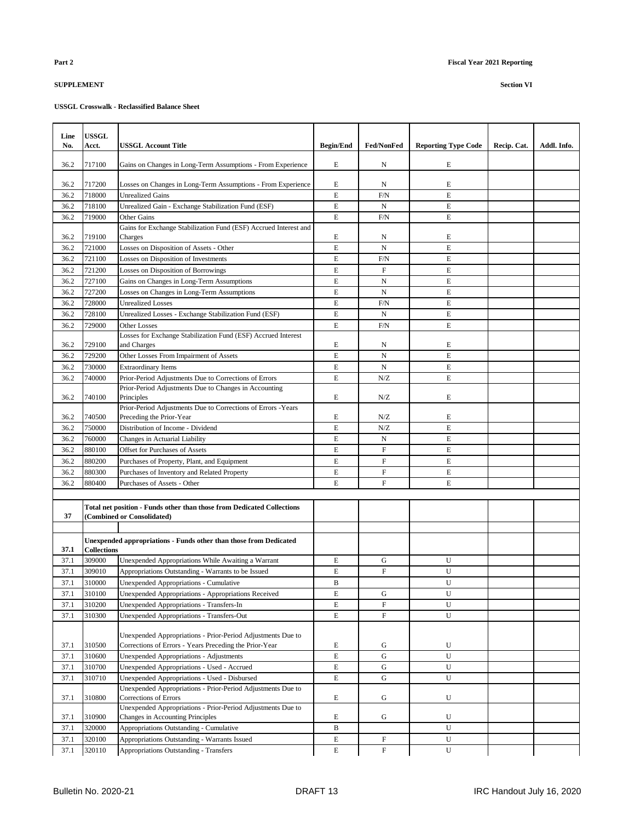| Line<br>No. | <b>USSGL</b><br><b>Acct.</b> | <b>USSGL Account Title</b>                                                                           | <b>Begin/End</b> | <b>Fed/NonFed</b>         | <b>Reporting Type Code</b> | Recip. Cat. | Addl. Info. |
|-------------|------------------------------|------------------------------------------------------------------------------------------------------|------------------|---------------------------|----------------------------|-------------|-------------|
|             |                              |                                                                                                      |                  |                           |                            |             |             |
| 36.2        | 717100                       | Gains on Changes in Long-Term Assumptions - From Experience                                          | E                | N                         | E                          |             |             |
| 36.2        | 717200                       | Losses on Changes in Long-Term Assumptions - From Experience                                         | E                | N                         | E                          |             |             |
| 36.2        | 718000                       | <b>Unrealized Gains</b>                                                                              | E                | F/N                       | E                          |             |             |
| 36.2        | 718100                       | Unrealized Gain - Exchange Stabilization Fund (ESF)                                                  | E                | N                         | E                          |             |             |
| 36.2        | 719000                       | <b>Other Gains</b>                                                                                   | E                | F/N                       | E                          |             |             |
|             |                              | Gains for Exchange Stabilization Fund (ESF) Accrued Interest and                                     |                  |                           |                            |             |             |
| 36.2        | 719100                       | Charges                                                                                              | E                | N                         | E                          |             |             |
| 36.2        | 721000                       | Losses on Disposition of Assets - Other                                                              | E                | $_{\rm N}$                | $\mathbf E$                |             |             |
| 36.2        | 721100                       | Losses on Disposition of Investments                                                                 | E                | F/N                       | E                          |             |             |
| 36.2        | 721200                       | Losses on Disposition of Borrowings                                                                  | E                | F                         | E                          |             |             |
| 36.2        | 727100                       | Gains on Changes in Long-Term Assumptions                                                            | E                | N                         | E                          |             |             |
| 36.2        | 727200                       | Losses on Changes in Long-Term Assumptions                                                           | E                | $_{\rm N}$                | E                          |             |             |
| 36.2        | 728000                       | <b>Unrealized Losses</b>                                                                             | E                | F/N                       | E                          |             |             |
| 36.2        | 728100                       | Unrealized Losses - Exchange Stabilization Fund (ESF)                                                | E                | N                         | E                          |             |             |
| 36.2        | 729000                       | <b>Other Losses</b>                                                                                  | E                | F/N                       | E                          |             |             |
| 36.2        | 729100                       | Losses for Exchange Stabilization Fund (ESF) Accrued Interest                                        | E                |                           | E                          |             |             |
| 36.2        | 729200                       | and Charges                                                                                          | E                | N<br>N                    | E                          |             |             |
| 36.2        | 730000                       | Other Losses From Impairment of Assets<br><b>Extraordinary Items</b>                                 | E                | $_{\rm N}$                | E                          |             |             |
| 36.2        | 740000                       | Prior-Period Adjustments Due to Corrections of Errors                                                | E                | N/Z                       | E                          |             |             |
|             |                              | Prior-Period Adjustments Due to Changes in Accounting                                                |                  |                           |                            |             |             |
| 36.2        | 740100                       | Principles                                                                                           | E                | N/Z                       | E                          |             |             |
|             |                              | Prior-Period Adjustments Due to Corrections of Errors - Years                                        |                  |                           |                            |             |             |
| 36.2        | 740500                       | Preceding the Prior-Year                                                                             | E                | N/Z                       | E                          |             |             |
| 36.2        | 750000                       | Distribution of Income - Dividend                                                                    | E                | N/Z                       | E                          |             |             |
| 36.2        | 760000                       | Changes in Actuarial Liability                                                                       | E                | N                         | E                          |             |             |
| 36.2        | 880100                       | <b>Offset for Purchases of Assets</b>                                                                | E                | $\boldsymbol{\mathrm{F}}$ | E                          |             |             |
| 36.2        | 880200                       | Purchases of Property, Plant, and Equipment                                                          | E                | $\mathbf F$               | E                          |             |             |
| 36.2        | 880300                       | Purchases of Inventory and Related Property                                                          | E                | ${\rm F}$                 | E                          |             |             |
| 36.2        | 880400                       | Purchases of Assets - Other                                                                          | E                | $\mathbf{F}$              | E                          |             |             |
|             |                              |                                                                                                      |                  |                           |                            |             |             |
| 37          |                              | Total net position - Funds other than those from Dedicated Collections<br>(Combined or Consolidated) |                  |                           |                            |             |             |
|             |                              |                                                                                                      |                  |                           |                            |             |             |
|             |                              | Unexpended appropriations - Funds other than those from Dedicated                                    |                  |                           |                            |             |             |
| 37.1        | <b>Collections</b>           |                                                                                                      |                  |                           |                            |             |             |
| 37.1        | 309000                       | Unexpended Appropriations While Awaiting a Warrant                                                   | E                | G                         | U                          |             |             |
| 37.1        | 309010                       | Appropriations Outstanding - Warrants to be Issued                                                   | E                | $\boldsymbol{\mathrm{F}}$ | U                          |             |             |
| 37.1        | 310000                       | Unexpended Appropriations - Cumulative                                                               | B                |                           | U                          |             |             |
| 37.1        | 310100                       | Unexpended Appropriations - Appropriations Received                                                  | E<br>E           | G<br>$\mathbf{F}$         | U<br>U                     |             |             |
| 37.1        | 310200<br>310300             | Unexpended Appropriations - Transfers-In                                                             |                  | $\mathbf{F}$              |                            |             |             |
| 37.1        |                              | Unexpended Appropriations - Transfers-Out                                                            | E                |                           | U                          |             |             |
|             |                              | Unexpended Appropriations - Prior-Period Adjustments Due to                                          |                  |                           |                            |             |             |
| 37.1        | 310500                       | Corrections of Errors - Years Preceding the Prior-Year                                               | E                | G                         | U                          |             |             |
| 37.1        | 310600                       | Unexpended Appropriations - Adjustments                                                              | E                | G                         | U                          |             |             |
| 37.1        | 310700                       | Unexpended Appropriations - Used - Accrued                                                           | E                | G                         | U                          |             |             |
| 37.1        | 310710                       | Unexpended Appropriations - Used - Disbursed                                                         | $\mathbf E$      | ${\bf G}$                 | $\mathbf U$                |             |             |
|             |                              | Unexpended Appropriations - Prior-Period Adjustments Due to                                          |                  |                           |                            |             |             |
| 37.1        | 310800                       | Corrections of Errors                                                                                | E                | G                         | U                          |             |             |
|             |                              | Unexpended Appropriations - Prior-Period Adjustments Due to                                          |                  |                           |                            |             |             |
| 37.1        | 310900                       | Changes in Accounting Principles                                                                     | E                | G                         | U                          |             |             |
| 37.1        | 320000                       | Appropriations Outstanding - Cumulative                                                              | $\, {\bf B}$     |                           | U                          |             |             |
| 37.1        | 320100                       | Appropriations Outstanding - Warrants Issued                                                         | Е                | F                         | U                          |             |             |
| 37.1        | 320110                       | Appropriations Outstanding - Transfers                                                               | E                | $\mathbf F$               | U                          |             |             |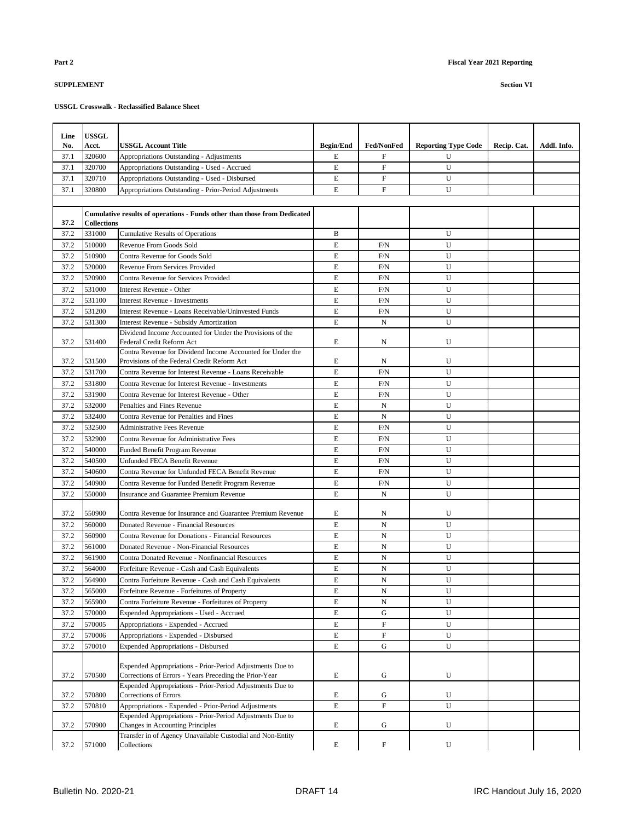| Line | <b>USSGL</b>       |                                                                                                                   |                  |                           |                            |             |             |
|------|--------------------|-------------------------------------------------------------------------------------------------------------------|------------------|---------------------------|----------------------------|-------------|-------------|
| No.  | <b>Acct.</b>       | <b>USSGL Account Title</b>                                                                                        | <b>Begin/End</b> | <b>Fed/NonFed</b>         | <b>Reporting Type Code</b> | Recip. Cat. | Addl. Info. |
| 37.1 | 320600             | Appropriations Outstanding - Adjustments                                                                          | E                | $\mathbf F$               | U                          |             |             |
| 37.1 | 320700             | Appropriations Outstanding - Used - Accrued                                                                       | $\mathbf E$      | $\mathbf F$               | U                          |             |             |
| 37.1 | 320710             | Appropriations Outstanding - Used - Disbursed                                                                     | E                | F                         | U                          |             |             |
| 37.1 | 320800             | Appropriations Outstanding - Prior-Period Adjustments                                                             | E                | F                         | U                          |             |             |
|      |                    |                                                                                                                   |                  |                           |                            |             |             |
|      |                    | Cumulative results of operations - Funds other than those from Dedicated                                          |                  |                           |                            |             |             |
| 37.2 | <b>Collections</b> |                                                                                                                   |                  |                           |                            |             |             |
| 37.2 | 331000             | <b>Cumulative Results of Operations</b>                                                                           | B                |                           | U                          |             |             |
| 37.2 | 510000             | Revenue From Goods Sold                                                                                           | E                | F/N                       | U                          |             |             |
| 37.2 | 510900             | Contra Revenue for Goods Sold                                                                                     | E                | F/N                       | U                          |             |             |
| 37.2 | 520000             | Revenue From Services Provided                                                                                    | $\mathbf E$      | F/N                       | U                          |             |             |
| 37.2 | 520900             | Contra Revenue for Services Provided                                                                              | E                | F/N                       | U                          |             |             |
| 37.2 | 531000             | Interest Revenue - Other                                                                                          | E                | F/N                       | U                          |             |             |
| 37.2 | 531100             | <b>Interest Revenue - Investments</b>                                                                             | E                | F/N                       | U                          |             |             |
| 37.2 | 531200             | Interest Revenue - Loans Receivable/Uninvested Funds                                                              | E<br>E           | F/N                       | U                          |             |             |
| 37.2 | 531300             | Interest Revenue - Subsidy Amortization<br>Dividend Income Accounted for Under the Provisions of the              |                  | N                         | U                          |             |             |
| 37.2 | 531400             | Federal Credit Reform Act                                                                                         | E                | N                         | U                          |             |             |
|      |                    | Contra Revenue for Dividend Income Accounted for Under the                                                        |                  |                           |                            |             |             |
| 37.2 | 531500             | Provisions of the Federal Credit Reform Act                                                                       | E                | N                         | U                          |             |             |
| 37.2 | 531700             | Contra Revenue for Interest Revenue - Loans Receivable                                                            | E                | F/N                       | U                          |             |             |
| 37.2 | 531800             | Contra Revenue for Interest Revenue - Investments                                                                 | E                | F/N                       | U                          |             |             |
| 37.2 | 531900             | Contra Revenue for Interest Revenue - Other                                                                       | E                | F/N                       | U                          |             |             |
| 37.2 | 532000             | Penalties and Fines Revenue                                                                                       | $\mathbf E$      | N                         | U                          |             |             |
| 37.2 | 532400             | Contra Revenue for Penalties and Fines                                                                            | $\mathbf E$      | N                         | U                          |             |             |
| 37.2 | 532500             | <b>Administrative Fees Revenue</b>                                                                                | E                | F/N                       | U                          |             |             |
| 37.2 | 532900             | Contra Revenue for Administrative Fees                                                                            | E                | F/N                       | U                          |             |             |
| 37.2 | 540000             | Funded Benefit Program Revenue                                                                                    | E                | F/N                       | U                          |             |             |
| 37.2 | 540500             | Unfunded FECA Benefit Revenue                                                                                     | E                | F/N                       | U                          |             |             |
| 37.2 | 540600             | Contra Revenue for Unfunded FECA Benefit Revenue                                                                  | E                | F/N                       | U                          |             |             |
| 37.2 | 540900             | Contra Revenue for Funded Benefit Program Revenue                                                                 | E                | F/N                       | U                          |             |             |
| 37.2 | 550000             | Insurance and Guarantee Premium Revenue                                                                           | E                | N                         | U                          |             |             |
| 37.2 | 550900             | Contra Revenue for Insurance and Guarantee Premium Revenue                                                        | E                | N                         | U                          |             |             |
| 37.2 | 560000             | Donated Revenue - Financial Resources                                                                             | E                | N                         | U                          |             |             |
| 37.2 | 560900             | Contra Revenue for Donations - Financial Resources                                                                | E                | $\mathbf N$               | U                          |             |             |
| 37.2 | 561000             | Donated Revenue - Non-Financial Resources                                                                         | E                | N                         | U                          |             |             |
| 37.2 | 561900             | Contra Donated Revenue - Nonfinancial Resources                                                                   | E                | N                         | $\mathbf{U}$               |             |             |
| 37.2 | 564000             | Forfeiture Revenue - Cash and Cash Equivalents                                                                    | E                | N                         | U                          |             |             |
| 37.2 | 564900             | Contra Forfeiture Revenue - Cash and Cash Equivalents                                                             | E                | N                         | U                          |             |             |
| 37.2 | 565000             | Forfeiture Revenue - Forfeitures of Property                                                                      | E                | ${\bf N}$                 | U                          |             |             |
| 37.2 | 565900             | Contra Forfeiture Revenue - Forfeitures of Property                                                               | E                | N                         | U                          |             |             |
| 37.2 | 570000             | Expended Appropriations - Used - Accrued                                                                          | E                | G                         | U                          |             |             |
| 37.2 | 570005             | Appropriations - Expended - Accrued                                                                               | E                | $\mathbf F$               | U                          |             |             |
| 37.2 | 570006             | Appropriations - Expended - Disbursed                                                                             | E                | ${\bf F}$                 | U                          |             |             |
| 37.2 | 570010             | <b>Expended Appropriations - Disbursed</b>                                                                        | E                | G                         | U                          |             |             |
|      |                    | Expended Appropriations - Prior-Period Adjustments Due to                                                         |                  |                           |                            |             |             |
| 37.2 | 570500             | Corrections of Errors - Years Preceding the Prior-Year                                                            | E                | G                         | U                          |             |             |
|      |                    | Expended Appropriations - Prior-Period Adjustments Due to                                                         |                  |                           |                            |             |             |
| 37.2 | 570800             | Corrections of Errors                                                                                             | E                | G                         | U                          |             |             |
| 37.2 | 570810             | Appropriations - Expended - Prior-Period Adjustments<br>Expended Appropriations - Prior-Period Adjustments Due to | E                | $\boldsymbol{\mathrm{F}}$ | U                          |             |             |
| 37.2 | 570900             | Changes in Accounting Principles                                                                                  | E                | G                         | U                          |             |             |
|      |                    | Transfer in of Agency Unavailable Custodial and Non-Entity                                                        |                  |                           |                            |             |             |
| 37.2 | 571000             | Collections                                                                                                       | E                | $\boldsymbol{\mathrm{F}}$ | U                          |             |             |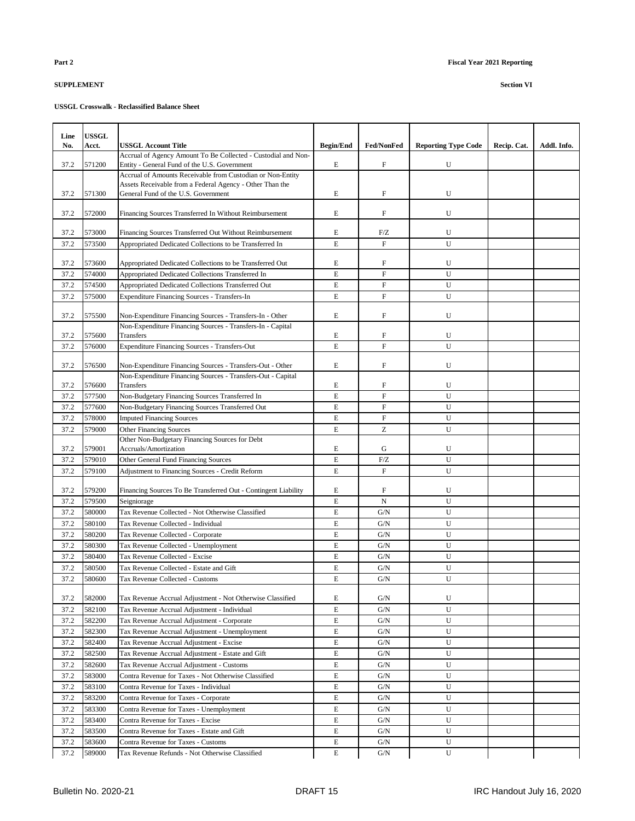## **USSGL Crosswalk - Reclassified Balance Sheet**

| Line         | <b>USSGL</b> |                                                                                                 |                  |                   |                            |             |             |
|--------------|--------------|-------------------------------------------------------------------------------------------------|------------------|-------------------|----------------------------|-------------|-------------|
| No.          | Acct.        | <b>USSGL Account Title</b>                                                                      | <b>Begin/End</b> | <b>Fed/NonFed</b> | <b>Reporting Type Code</b> | Recip. Cat. | Addl. Info. |
|              |              | Accrual of Agency Amount To Be Collected - Custodial and Non-                                   |                  |                   |                            |             |             |
| 37.2         | 571200       | Entity - General Fund of the U.S. Government                                                    | E                | F                 | U                          |             |             |
|              |              | Accrual of Amounts Receivable from Custodian or Non-Entity                                      |                  |                   |                            |             |             |
| 37.2         | 571300       | Assets Receivable from a Federal Agency - Other Than the<br>General Fund of the U.S. Government | E                | F                 | U                          |             |             |
|              |              |                                                                                                 |                  |                   |                            |             |             |
| 37.2         | 572000       | Financing Sources Transferred In Without Reimbursement                                          | E                | ${\rm F}$         | U                          |             |             |
|              |              |                                                                                                 |                  |                   |                            |             |             |
| 37.2         | 573000       | Financing Sources Transferred Out Without Reimbursement                                         | E                | F/Z               | U                          |             |             |
| 37.2         | 573500       | Appropriated Dedicated Collections to be Transferred In                                         | E                | $\overline{F}$    | U                          |             |             |
| 37.2         | 573600       | Appropriated Dedicated Collections to be Transferred Out                                        | E                | F                 | U                          |             |             |
| 37.2         | 574000       | Appropriated Dedicated Collections Transferred In                                               | E                | $\mathbf F$       | U                          |             |             |
| 37.2         | 574500       | Appropriated Dedicated Collections Transferred Out                                              | E                | $\overline{F}$    | U                          |             |             |
| 37.2         | 575000       | <b>Expenditure Financing Sources - Transfers-In</b>                                             | $\mathbf E$      | $\overline{F}$    | U                          |             |             |
|              |              |                                                                                                 |                  |                   |                            |             |             |
| 37.2         | 575500       | Non-Expenditure Financing Sources - Transfers-In - Other                                        | E                | F                 | U                          |             |             |
|              | 575600       | Non-Expenditure Financing Sources - Transfers-In - Capital                                      |                  | ${\rm F}$         |                            |             |             |
| 37.2<br>37.2 | 576000       | Transfers<br><b>Expenditure Financing Sources - Transfers-Out</b>                               | E<br>E           | $\overline{F}$    | U<br>U                     |             |             |
|              |              |                                                                                                 |                  |                   |                            |             |             |
| 37.2         | 576500       | Non-Expenditure Financing Sources - Transfers-Out - Other                                       | E                | F                 | U                          |             |             |
|              |              | Non-Expenditure Financing Sources - Transfers-Out - Capital                                     |                  |                   |                            |             |             |
| 37.2         | 576600       | Transfers                                                                                       | E                | $\mathbf F$       | U                          |             |             |
| 37.2         | 577500       | Non-Budgetary Financing Sources Transferred In                                                  | $\mathbf E$      | ${\rm F}$         | U                          |             |             |
| 37.2         | 577600       | Non-Budgetary Financing Sources Transferred Out                                                 | E                | ${\rm F}$         | U                          |             |             |
| 37.2         | 578000       | <b>Imputed Financing Sources</b>                                                                | E                | ${\rm F}$         | U                          |             |             |
| 37.2         | 579000       | <b>Other Financing Sources</b>                                                                  | $\mathbf E$      | Z                 | U                          |             |             |
| 37.2         | 579001       | Other Non-Budgetary Financing Sources for Debt<br>Accruals/Amortization                         | E                | G                 | U                          |             |             |
| 37.2         | 579010       | Other General Fund Financing Sources                                                            | $\mathbf E$      | F/Z               | U                          |             |             |
| 37.2         | 579100       | Adjustment to Financing Sources - Credit Reform                                                 | $\mathbf E$      | $\overline{F}$    | U                          |             |             |
|              |              |                                                                                                 |                  |                   |                            |             |             |
| 37.2         | 579200       | Financing Sources To Be Transferred Out - Contingent Liability                                  | E                | F                 | U                          |             |             |
| 37.2         | 579500       | Seigniorage                                                                                     | E                | N                 | U                          |             |             |
| 37.2         | 580000       | Tax Revenue Collected - Not Otherwise Classified                                                | $\mathbf E$      | G/N               | U                          |             |             |
| 37.2         | 580100       | Tax Revenue Collected - Individual                                                              | $\mathbf E$      | G/N               | U                          |             |             |
| 37.2         | 580200       | Tax Revenue Collected - Corporate                                                               | $\mathbf E$      | G/N               | U                          |             |             |
| 37.2         | 580300       | Tax Revenue Collected - Unemployment                                                            | $\mathbf E$      | G/N               | U                          |             |             |
| 37.2         | 580400       | Tax Revenue Collected - Excise                                                                  | E                | G/N               | U                          |             |             |
| 37.2         | 580500       | Tax Revenue Collected - Estate and Gift                                                         | E                | G/N               | U                          |             |             |
| 37.2         | 580600       | Tax Revenue Collected - Customs                                                                 | E                | G/N               | U                          |             |             |
| 37.2         | 582000       | Tax Revenue Accrual Adjustment - Not Otherwise Classified                                       | E                | G/N               | U                          |             |             |
| 37.2         | 582100       | Tax Revenue Accrual Adjustment - Individual                                                     | E                | G/N               | U                          |             |             |
| 37.2         | 582200       | Tax Revenue Accrual Adjustment - Corporate                                                      | E                | G/N               | U                          |             |             |
| 37.2         | 582300       | Tax Revenue Accrual Adjustment - Unemployment                                                   | E                | G/N               | U                          |             |             |
| 37.2         | 582400       | Tax Revenue Accrual Adjustment - Excise                                                         | E                | G/N               | U                          |             |             |
| 37.2         | 582500       | Tax Revenue Accrual Adjustment - Estate and Gift                                                | E                | G/N               | U                          |             |             |
| 37.2         | 582600       | Tax Revenue Accrual Adjustment - Customs                                                        | $\mathbf E$      | G/N               | U                          |             |             |
| 37.2         | 583000       | Contra Revenue for Taxes - Not Otherwise Classified                                             | $\mathbf E$      | G/N               | U                          |             |             |
| 37.2         | 583100       | Contra Revenue for Taxes - Individual                                                           | E                | G/N               | U                          |             |             |
| 37.2         | 583200       | Contra Revenue for Taxes - Corporate                                                            | E                | G/N               | U                          |             |             |
| 37.2         | 583300       | Contra Revenue for Taxes - Unemployment                                                         | $\mathbf E$      | G/N               | U                          |             |             |
| 37.2         | 583400       | Contra Revenue for Taxes - Excise                                                               | E                | G/N               | U                          |             |             |
| 37.2         | 583500       | Contra Revenue for Taxes - Estate and Gift                                                      | E                | G/N               | U                          |             |             |
| 37.2         | 583600       | Contra Revenue for Taxes - Customs                                                              | E                | G/N               | U                          |             |             |
| 37.2         | 589000       | Tax Revenue Refunds - Not Otherwise Classified                                                  | E                | G/N               | U                          |             |             |

Τ

Ι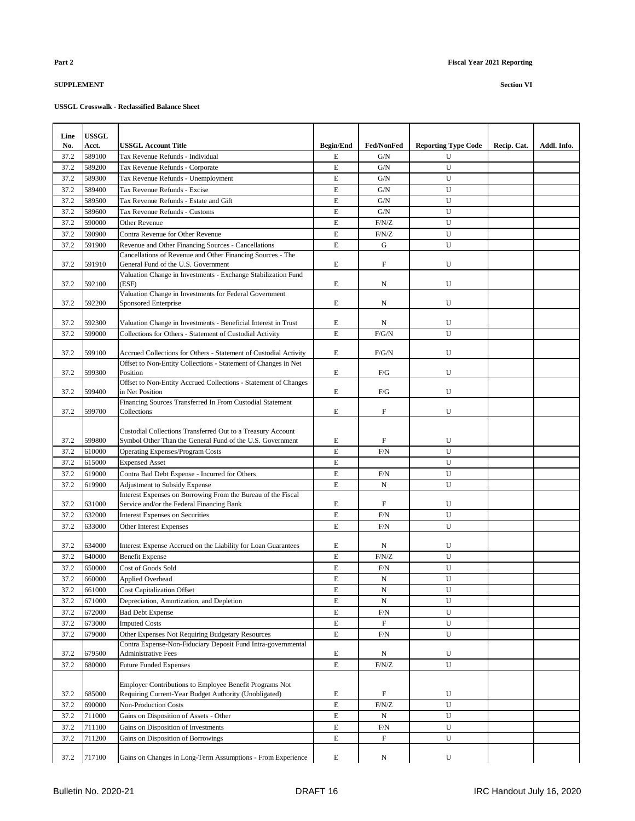| Line | <b>USSGL</b> |                                                                                                                  |                  |                           |                            |             |             |
|------|--------------|------------------------------------------------------------------------------------------------------------------|------------------|---------------------------|----------------------------|-------------|-------------|
| No.  | Acct.        | <b>USSGL Account Title</b>                                                                                       | <b>Begin/End</b> | <b>Fed/NonFed</b>         | <b>Reporting Type Code</b> | Recip. Cat. | Addl. Info. |
| 37.2 | 589100       | Tax Revenue Refunds - Individual                                                                                 | E                | G/N                       | U                          |             |             |
| 37.2 | 589200       | Tax Revenue Refunds - Corporate                                                                                  | $\mathbf E$      | G/N                       | U                          |             |             |
| 37.2 | 589300       | Tax Revenue Refunds - Unemployment                                                                               | $\mathbf E$      | G/N                       | U                          |             |             |
| 37.2 | 589400       | Tax Revenue Refunds - Excise                                                                                     | $\mathbf E$      | G/N                       | U                          |             |             |
| 37.2 | 589500       | Tax Revenue Refunds - Estate and Gift                                                                            | $\mathbf E$      | G/N                       | U                          |             |             |
| 37.2 | 589600       | Tax Revenue Refunds - Customs                                                                                    | E                | G/N                       | U                          |             |             |
| 37.2 | 590000       | Other Revenue                                                                                                    | E                | F/N/Z                     | U                          |             |             |
| 37.2 | 590900       | Contra Revenue for Other Revenue                                                                                 | $\mathbf E$      | F/N/Z                     | U                          |             |             |
| 37.2 | 591900       | Revenue and Other Financing Sources - Cancellations                                                              | E                | G                         | U                          |             |             |
|      |              | Cancellations of Revenue and Other Financing Sources - The                                                       |                  |                           |                            |             |             |
| 37.2 | 591910       | General Fund of the U.S. Government<br>Valuation Change in Investments - Exchange Stabilization Fund             | E                | $\boldsymbol{\mathrm{F}}$ | U                          |             |             |
| 37.2 | 592100       | (ESF)                                                                                                            | E                | N                         | U                          |             |             |
| 37.2 | 592200       | Valuation Change in Investments for Federal Government                                                           | E                | N                         | U                          |             |             |
|      |              | Sponsored Enterprise                                                                                             |                  |                           |                            |             |             |
| 37.2 | 592300       | Valuation Change in Investments - Beneficial Interest in Trust                                                   | E                | N                         | U                          |             |             |
| 37.2 | 599000       | Collections for Others - Statement of Custodial Activity                                                         | E                | F/G/N                     | U                          |             |             |
|      |              |                                                                                                                  |                  |                           |                            |             |             |
| 37.2 | 599100       | Accrued Collections for Others - Statement of Custodial Activity                                                 | E                | F/G/N                     | U                          |             |             |
|      |              | Offset to Non-Entity Collections - Statement of Changes in Net                                                   |                  |                           |                            |             |             |
| 37.2 | 599300       | Position                                                                                                         | E                | F/G                       | U                          |             |             |
| 37.2 | 599400       | Offset to Non-Entity Accrued Collections - Statement of Changes<br>in Net Position                               | E                | F/G                       | U                          |             |             |
|      |              | Financing Sources Transferred In From Custodial Statement                                                        |                  |                           |                            |             |             |
| 37.2 | 599700       | Collections                                                                                                      | E                | F                         | U                          |             |             |
|      |              |                                                                                                                  |                  |                           |                            |             |             |
|      |              | Custodial Collections Transferred Out to a Treasury Account                                                      |                  |                           |                            |             |             |
| 37.2 | 599800       | Symbol Other Than the General Fund of the U.S. Government                                                        | E                | $_{\rm F}$                | U                          |             |             |
| 37.2 | 610000       | <b>Operating Expenses/Program Costs</b>                                                                          | $\mathbf E$      | F/N                       | U                          |             |             |
| 37.2 | 615000       | <b>Expensed Asset</b>                                                                                            | E                |                           | U                          |             |             |
| 37.2 | 619000       | Contra Bad Debt Expense - Incurred for Others                                                                    | E                | F/N                       | U                          |             |             |
| 37.2 | 619900       | <b>Adjustment to Subsidy Expense</b><br>Interest Expenses on Borrowing From the Bureau of the Fiscal             | E                | N                         | U                          |             |             |
| 37.2 | 631000       | Service and/or the Federal Financing Bank                                                                        | E                | $_{\rm F}$                | U                          |             |             |
| 37.2 | 632000       | <b>Interest Expenses on Securities</b>                                                                           | E                | F/N                       | U                          |             |             |
| 37.2 | 633000       | Other Interest Expenses                                                                                          | $\mathbf E$      | F/N                       | U                          |             |             |
|      |              |                                                                                                                  |                  |                           |                            |             |             |
| 37.2 | 634000       | Interest Expense Accrued on the Liability for Loan Guarantees                                                    | E                | Ν                         | U                          |             |             |
| 37.2 | 640000       | <b>Benefit Expense</b>                                                                                           | $\mathbf E$      | F/N/Z                     | U                          |             |             |
| 37.2 | 650000       | Cost of Goods Sold                                                                                               | E                | F/N                       | U                          |             |             |
| 37.2 | 660000       | <b>Applied Overhead</b>                                                                                          | $\mathbf E$      | N                         | U                          |             |             |
| 37.2 | 661000       | <b>Cost Capitalization Offset</b>                                                                                | E                | N                         | U                          |             |             |
| 37.2 | 671000       | Depreciation, Amortization, and Depletion                                                                        | E                | N                         | U                          |             |             |
| 37.2 | 672000       | <b>Bad Debt Expense</b>                                                                                          | E                | F/N                       | U                          |             |             |
| 37.2 | 673000       | <b>Imputed Costs</b>                                                                                             | $\mathbf E$      | $\boldsymbol{\mathrm{F}}$ | U                          |             |             |
| 37.2 | 679000       | Other Expenses Not Requiring Budgetary Resources                                                                 | $\mathbf E$      | F/N                       | U                          |             |             |
|      |              | Contra Expense-Non-Fiduciary Deposit Fund Intra-governmental                                                     |                  |                           |                            |             |             |
| 37.2 | 679500       | <b>Administrative Fees</b>                                                                                       | E                | N                         | U                          |             |             |
| 37.2 | 680000       | <b>Future Funded Expenses</b>                                                                                    | E                | F/N/Z                     | U                          |             |             |
|      |              |                                                                                                                  |                  |                           |                            |             |             |
| 37.2 | 685000       | Employer Contributions to Employee Benefit Programs Not<br>Requiring Current-Year Budget Authority (Unobligated) | E                | F                         | U                          |             |             |
| 37.2 | 690000       | Non-Production Costs                                                                                             | E                | F/N/Z                     | U                          |             |             |
| 37.2 | 711000       | Gains on Disposition of Assets - Other                                                                           | $\mathbf E$      | N                         | ${\bf U}$                  |             |             |
| 37.2 | 711100       | Gains on Disposition of Investments                                                                              | E                | F/N                       | U                          |             |             |
| 37.2 | 711200       | Gains on Disposition of Borrowings                                                                               | E                | $\boldsymbol{\mathrm{F}}$ | U                          |             |             |
|      |              |                                                                                                                  |                  |                           |                            |             |             |
| 37.2 | 717100       | Gains on Changes in Long-Term Assumptions - From Experience                                                      | E                | N                         | U                          |             |             |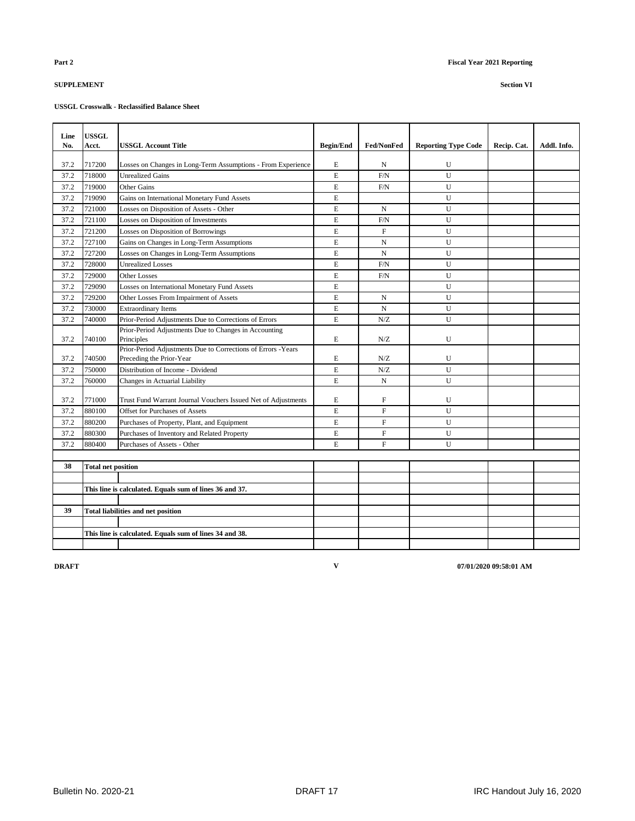## **USSGL Crosswalk - Reclassified Balance Sheet**

| Line<br>No. | <b>USSGL</b><br>Acct.     | USSGL Account Title                                           | <b>Begin/End</b> | <b>Fed/NonFed</b> | <b>Reporting Type Code</b> | Recip. Cat. | Addl. Info. |
|-------------|---------------------------|---------------------------------------------------------------|------------------|-------------------|----------------------------|-------------|-------------|
| 37.2        | 717200                    | Losses on Changes in Long-Term Assumptions - From Experience  | E                | N                 | U                          |             |             |
| 37.2        | 718000                    | <b>Unrealized Gains</b>                                       | E                | F/N               | U                          |             |             |
| 37.2        | 719000                    | <b>Other Gains</b>                                            | E                | F/N               | U                          |             |             |
| 37.2        | 719090                    | Gains on International Monetary Fund Assets                   | E                |                   | U                          |             |             |
| 37.2        | 721000                    | Losses on Disposition of Assets - Other                       | E                | N                 | U                          |             |             |
| 37.2        | 721100                    | Losses on Disposition of Investments                          | E                | F/N               | U                          |             |             |
| 37.2        | 721200                    | Losses on Disposition of Borrowings                           | E                | $\mathbf{F}$      | U                          |             |             |
| 37.2        | 727100                    | Gains on Changes in Long-Term Assumptions                     | E                | $\mathbf N$       | U                          |             |             |
| 37.2        | 727200                    | Losses on Changes in Long-Term Assumptions                    | E                | N                 | U                          |             |             |
| 37.2        | 728000                    | <b>Unrealized Losses</b>                                      | $\overline{E}$   | $\rm F/N$         | U                          |             |             |
| 37.2        | 729000                    | <b>Other Losses</b>                                           | E                | F/N               | U                          |             |             |
| 37.2        | 729090                    | Losses on International Monetary Fund Assets                  | E                |                   | U                          |             |             |
| 37.2        | 729200                    | Other Losses From Impairment of Assets                        | E                | N                 | U                          |             |             |
| 37.2        | 730000                    | <b>Extraordinary Items</b>                                    | E                | $\mathbf N$       | U                          |             |             |
| 37.2        | 740000                    | Prior-Period Adjustments Due to Corrections of Errors         | E.               | N/Z               | U                          |             |             |
|             |                           | Prior-Period Adjustments Due to Changes in Accounting         |                  |                   |                            |             |             |
| 37.2        | 740100                    | Principles                                                    | E                | N/Z               | U                          |             |             |
|             |                           | Prior-Period Adjustments Due to Corrections of Errors - Years |                  |                   |                            |             |             |
| 37.2        | 740500                    | Preceding the Prior-Year                                      | E                | N/Z               | U                          |             |             |
| 37.2        | 750000                    | Distribution of Income - Dividend                             | E                | N/Z               | U                          |             |             |
| 37.2        | 760000                    | Changes in Actuarial Liability                                | E                | N                 | U                          |             |             |
| 37.2        | 771000                    | Trust Fund Warrant Journal Vouchers Issued Net of Adjustments | E                | $\mathbf F$       | U                          |             |             |
| 37.2        | 880100                    | Offset for Purchases of Assets                                | E                | $\mathbf{F}$      | U                          |             |             |
| 37.2        | 880200                    | Purchases of Property, Plant, and Equipment                   | E                | $\mathbf F$       | U                          |             |             |
| 37.2        | 880300                    | Purchases of Inventory and Related Property                   | E                | $\mathbf{F}$      | U                          |             |             |
| 37.2        | 880400                    | Purchases of Assets - Other                                   | E                | $\mathbf{F}$      | U                          |             |             |
|             |                           |                                                               |                  |                   |                            |             |             |
| 38          | <b>Total net position</b> |                                                               |                  |                   |                            |             |             |
|             |                           |                                                               |                  |                   |                            |             |             |
|             |                           | This line is calculated. Equals sum of lines 36 and 37.       |                  |                   |                            |             |             |
|             |                           |                                                               |                  |                   |                            |             |             |
| 39          |                           | <b>Total liabilities and net position</b>                     |                  |                   |                            |             |             |
|             |                           |                                                               |                  |                   |                            |             |             |
|             |                           | This line is calculated. Equals sum of lines 34 and 38.       |                  |                   |                            |             |             |
|             |                           |                                                               |                  |                   |                            |             |             |

**V**

**DRAFT 07/01/2020 09:58:01 AM**